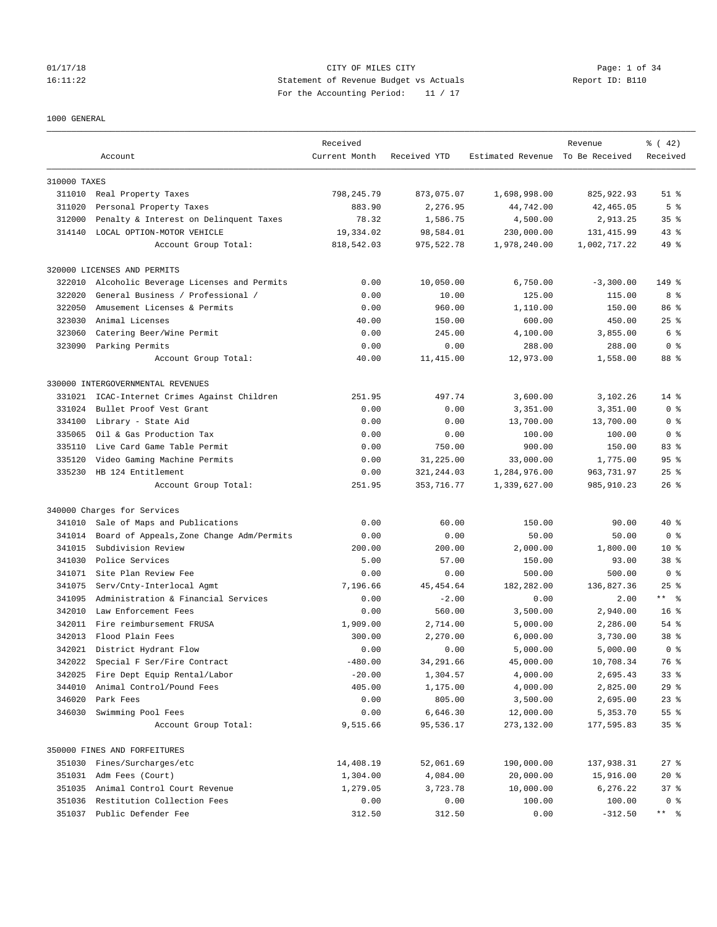### 1000 GENERAL

|              |                                           | Received      |              |                                  | Revenue      | $\frac{1}{6}$ ( 42) |
|--------------|-------------------------------------------|---------------|--------------|----------------------------------|--------------|---------------------|
|              | Account                                   | Current Month | Received YTD | Estimated Revenue To Be Received |              | Received            |
| 310000 TAXES |                                           |               |              |                                  |              |                     |
| 311010       | Real Property Taxes                       | 798,245.79    | 873,075.07   | 1,698,998.00                     | 825, 922.93  | $51$ %              |
| 311020       | Personal Property Taxes                   | 883.90        | 2,276.95     | 44,742.00                        | 42, 465.05   | 5 <sup>°</sup>      |
| 312000       | Penalty & Interest on Delinquent Taxes    | 78.32         | 1,586.75     | 4,500.00                         | 2,913.25     | 35 <sup>8</sup>     |
| 314140       | LOCAL OPTION-MOTOR VEHICLE                | 19,334.02     | 98,584.01    | 230,000.00                       | 131, 415.99  | $43$ %              |
|              | Account Group Total:                      | 818,542.03    | 975,522.78   | 1,978,240.00                     | 1,002,717.22 | $49*$               |
|              | 320000 LICENSES AND PERMITS               |               |              |                                  |              |                     |
| 322010       | Alcoholic Beverage Licenses and Permits   | 0.00          | 10,050.00    | 6,750.00                         | $-3,300.00$  | 149 %               |
| 322020       | General Business / Professional /         | 0.00          | 10.00        | 125.00                           | 115.00       | 8 %                 |
| 322050       | Amusement Licenses & Permits              | 0.00          | 960.00       | 1,110.00                         | 150.00       | 86%                 |
| 323030       | Animal Licenses                           | 40.00         | 150.00       | 600.00                           | 450.00       | $25$ $%$            |
| 323060       | Catering Beer/Wine Permit                 | 0.00          | 245.00       | 4,100.00                         | 3,855.00     | 6 %                 |
| 323090       | Parking Permits                           | 0.00          | 0.00         | 288.00                           | 288.00       | 0 <sup>8</sup>      |
|              | Account Group Total:                      | 40.00         | 11,415.00    | 12,973.00                        | 1,558.00     | 88 %                |
|              | 330000 INTERGOVERNMENTAL REVENUES         |               |              |                                  |              |                     |
| 331021       | ICAC-Internet Crimes Against Children     | 251.95        | 497.74       | 3,600.00                         | 3,102.26     | $14*$               |
| 331024       | Bullet Proof Vest Grant                   | 0.00          | 0.00         | 3,351.00                         | 3,351.00     | 0 <sup>8</sup>      |
| 334100       | Library - State Aid                       | 0.00          | 0.00         | 13,700.00                        | 13,700.00    | 0 <sup>8</sup>      |
| 335065       | Oil & Gas Production Tax                  | 0.00          | 0.00         | 100.00                           | 100.00       | 0 <sup>8</sup>      |
| 335110       | Live Card Game Table Permit               | 0.00          | 750.00       | 900.00                           | 150.00       | 83%                 |
| 335120       | Video Gaming Machine Permits              | 0.00          | 31,225.00    | 33,000.00                        | 1,775.00     | 95 <sub>8</sub>     |
| 335230       | HB 124 Entitlement                        | 0.00          | 321, 244.03  | 1,284,976.00                     | 963,731.97   | $25$ $%$            |
|              | Account Group Total:                      | 251.95        | 353, 716. 77 | 1,339,627.00                     | 985, 910.23  | $26$ %              |
|              | 340000 Charges for Services               |               |              |                                  |              |                     |
| 341010       | Sale of Maps and Publications             | 0.00          | 60.00        | 150.00                           | 90.00        | 40 %                |
| 341014       | Board of Appeals, Zone Change Adm/Permits | 0.00          | 0.00         | 50.00                            | 50.00        | 0 <sup>8</sup>      |
| 341015       | Subdivision Review                        | 200.00        | 200.00       | 2,000.00                         | 1,800.00     | $10*$               |
| 341030       | Police Services                           | 5.00          | 57.00        | 150.00                           | 93.00        | 38 <sup>8</sup>     |
| 341071       | Site Plan Review Fee                      | 0.00          | 0.00         | 500.00                           | 500.00       | 0 <sup>8</sup>      |
| 341075       | Serv/Cnty-Interlocal Agmt                 | 7,196.66      | 45, 454.64   | 182,282.00                       | 136,827.36   | $25$ $%$            |
| 341095       | Administration & Financial Services       | 0.00          | $-2.00$      | 0.00                             | 2.00         | ** %                |
| 342010       | Law Enforcement Fees                      | 0.00          | 560.00       | 3,500.00                         | 2,940.00     | 16 <sup>8</sup>     |
| 342011       | Fire reimbursement FRUSA                  | 1,909.00      | 2,714.00     | 5,000.00                         | 2,286.00     | $54$ $%$            |
| 342013       | Flood Plain Fees                          | 300.00        | 2,270.00     | 6,000.00                         | 3,730.00     | 38 %                |
| 342021       | District Hydrant Flow                     | 0.00          | 0.00         | 5,000.00                         | 5,000.00     | 0 <sup>8</sup>      |
| 342022       | Special F Ser/Fire Contract               | $-480.00$     | 34,291.66    | 45,000.00                        | 10,708.34    | 76 %                |
| 342025       | Fire Dept Equip Rental/Labor              | $-20.00$      | 1,304.57     | 4,000.00                         | 2,695.43     | 33 <sup>8</sup>     |
| 344010       | Animal Control/Pound Fees                 | 405.00        | 1,175.00     | 4,000.00                         | 2,825.00     | 29%                 |
| 346020       | Park Fees                                 | 0.00          | 805.00       | 3,500.00                         | 2,695.00     | $23$ $%$            |
| 346030       | Swimming Pool Fees                        | 0.00          | 6,646.30     | 12,000.00                        | 5,353.70     | 55 %                |
|              | Account Group Total:                      | 9,515.66      | 95,536.17    | 273,132.00                       | 177,595.83   | 35 <sup>8</sup>     |
|              | 350000 FINES AND FORFEITURES              |               |              |                                  |              |                     |
| 351030       | Fines/Surcharges/etc                      | 14,408.19     | 52,061.69    | 190,000.00                       | 137,938.31   | $27$ %              |
| 351031       | Adm Fees (Court)                          | 1,304.00      | 4,084.00     | 20,000.00                        | 15,916.00    | $20*$               |
| 351035       | Animal Control Court Revenue              | 1,279.05      | 3,723.78     | 10,000.00                        | 6,276.22     | 37%                 |
| 351036       | Restitution Collection Fees               | 0.00          | 0.00         | 100.00                           | 100.00       | 0 <sup>8</sup>      |
|              | 351037 Public Defender Fee                | 312.50        | 312.50       | 0.00                             | $-312.50$    | ** 응                |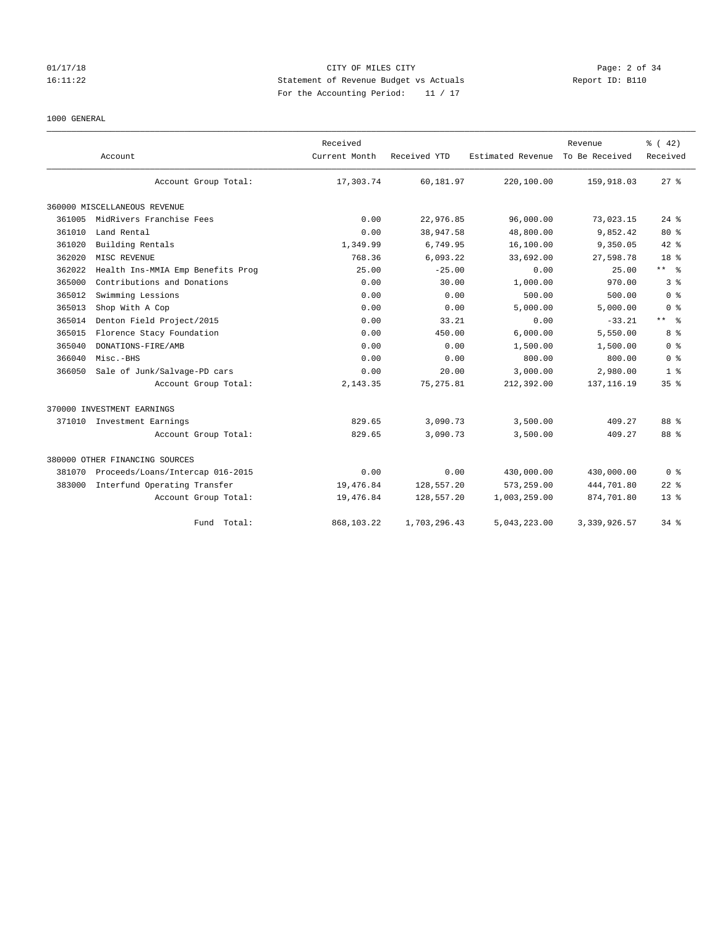### 1000 GENERAL

|        | Account                           | Received<br>Current Month | Received YTD | Estimated Revenue | Revenue<br>To Be Received | % (42)<br>Received      |
|--------|-----------------------------------|---------------------------|--------------|-------------------|---------------------------|-------------------------|
|        | Account Group Total:              | 17,303.74                 | 60,181.97    | 220,100.00        | 159,918.03                | $27$ $%$                |
|        | 360000 MISCELLANEOUS REVENUE      |                           |              |                   |                           |                         |
| 361005 | MidRivers Franchise Fees          | 0.00                      | 22,976.85    | 96,000.00         | 73,023.15                 | $24$ $%$                |
| 361010 | Land Rental                       | 0.00                      | 38,947.58    | 48,800.00         | 9,852.42                  | $80*$                   |
| 361020 | Building Rentals                  | 1,349.99                  | 6,749.95     | 16,100.00         | 9,350.05                  | 42.8                    |
| 362020 | MISC REVENUE                      | 768.36                    | 6,093.22     | 33,692.00         | 27,598.78                 | 18 <sup>8</sup>         |
| 362022 | Health Ins-MMIA Emp Benefits Prog | 25.00                     | $-25.00$     | 0.00              | 25.00                     | $***$ $ -$              |
| 365000 | Contributions and Donations       | 0.00                      | 30.00        | 1,000.00          | 970.00                    | 3%                      |
| 365012 | Swimming Lessions                 | 0.00                      | 0.00         | 500.00            | 500.00                    | 0 <sup>8</sup>          |
| 365013 | Shop With A Cop                   | 0.00                      | 0.00         | 5,000.00          | 5,000.00                  | 0 <sup>8</sup>          |
| 365014 | Denton Field Project/2015         | 0.00                      | 33.21        | 0.00              | $-33.21$                  | $***$ $=$ $\frac{6}{5}$ |
| 365015 | Florence Stacy Foundation         | 0.00                      | 450.00       | 6,000.00          | 5,550.00                  | 8 %                     |
| 365040 | DONATIONS-FIRE/AMB                | 0.00                      | 0.00         | 1,500.00          | 1,500.00                  | 0 <sup>8</sup>          |
| 366040 | Misc.-BHS                         | 0.00                      | 0.00         | 800.00            | 800.00                    | 0 <sup>8</sup>          |
| 366050 | Sale of Junk/Salvage-PD cars      | 0.00                      | 20.00        | 3,000.00          | 2,980.00                  | 1 <sup>8</sup>          |
|        | Account Group Total:              | 2,143.35                  | 75, 275.81   | 212,392.00        | 137, 116.19               | 35%                     |
|        | 370000 INVESTMENT EARNINGS        |                           |              |                   |                           |                         |
|        | 371010 Investment Earnings        | 829.65                    | 3,090.73     | 3,500.00          | 409.27                    | 88 %                    |
|        | Account Group Total:              | 829.65                    | 3,090.73     | 3,500.00          | 409.27                    | 88 %                    |
|        | 380000 OTHER FINANCING SOURCES    |                           |              |                   |                           |                         |
| 381070 | Proceeds/Loans/Intercap 016-2015  | 0.00                      | 0.00         | 430,000.00        | 430,000.00                | 0 <sup>8</sup>          |
| 383000 | Interfund Operating Transfer      | 19,476.84                 | 128,557.20   | 573,259.00        | 444,701.80                | $22$ $%$                |
|        | Account Group Total:              | 19,476.84                 | 128,557.20   | 1,003,259.00      | 874,701.80                | $13*$                   |
|        | Fund Total:                       | 868,103.22                | 1,703,296.43 | 5,043,223.00      | 3, 339, 926.57            | 34.8                    |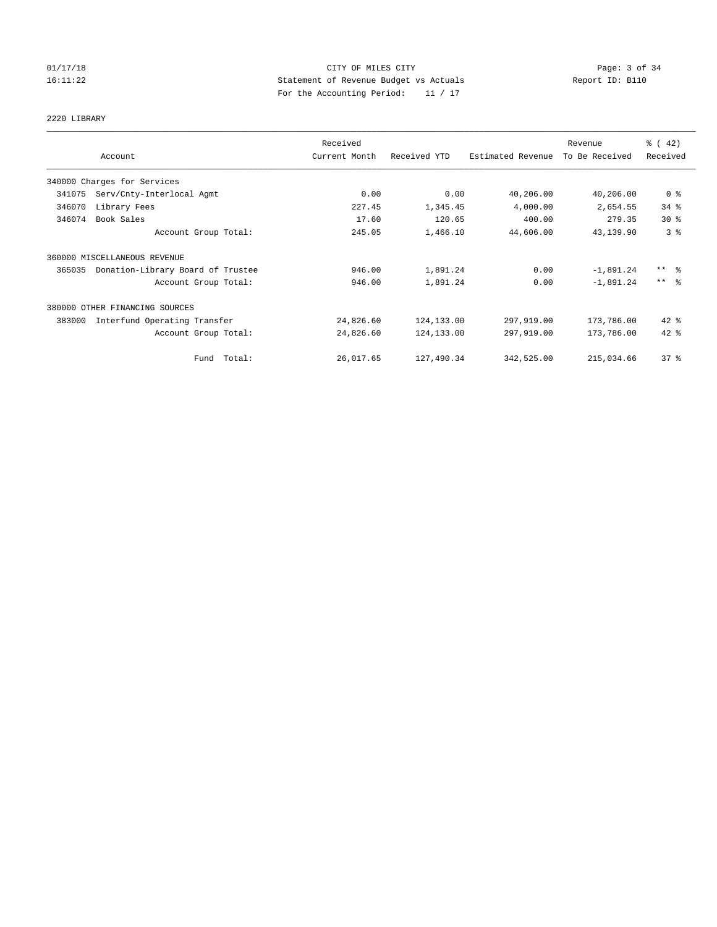# 01/17/18 Page: 3 of 34 16:11:22 Statement of Revenue Budget vs Actuals Report ID: B110 For the Accounting Period: 11 / 17

# 2220 LIBRARY

|        | Account                           | Received<br>Current Month | Received YTD | Estimated Revenue | Revenue<br>To Be Received | $\frac{1}{6}$ ( 42)<br>Received |
|--------|-----------------------------------|---------------------------|--------------|-------------------|---------------------------|---------------------------------|
|        | 340000 Charges for Services       |                           |              |                   |                           |                                 |
| 341075 | Serv/Cnty-Interlocal Agmt         | 0.00                      | 0.00         | 40,206.00         | 40,206.00                 | 0 <sup>8</sup>                  |
| 346070 | Library Fees                      | 227.45                    | 1,345.45     | 4,000.00          | 2,654.55                  | 34%                             |
| 346074 | Book Sales                        | 17.60                     | 120.65       | 400.00            | 279.35                    | $30*$                           |
|        | Account Group Total:              | 245.05                    | 1,466.10     | 44,606.00         | 43,139.90                 | 3 <sup>8</sup>                  |
|        | 360000 MISCELLANEOUS REVENUE      |                           |              |                   |                           |                                 |
| 365035 | Donation-Library Board of Trustee | 946.00                    | 1,891.24     | 0.00              | $-1,891.24$               | $***$ $\frac{6}{5}$             |
|        | Account Group Total:              | 946.00                    | 1,891.24     | 0.00              | $-1,891.24$               | $***$ $\approx$                 |
|        | 380000 OTHER FINANCING SOURCES    |                           |              |                   |                           |                                 |
| 383000 | Interfund Operating Transfer      | 24,826.60                 | 124,133.00   | 297,919.00        | 173,786.00                | $42$ %                          |
|        | Account Group Total:              | 24,826.60                 | 124, 133.00  | 297,919.00        | 173,786.00                | $42*$                           |
|        | Total:<br>Fund                    | 26,017.65                 | 127,490.34   | 342,525.00        | 215,034.66                | 37%                             |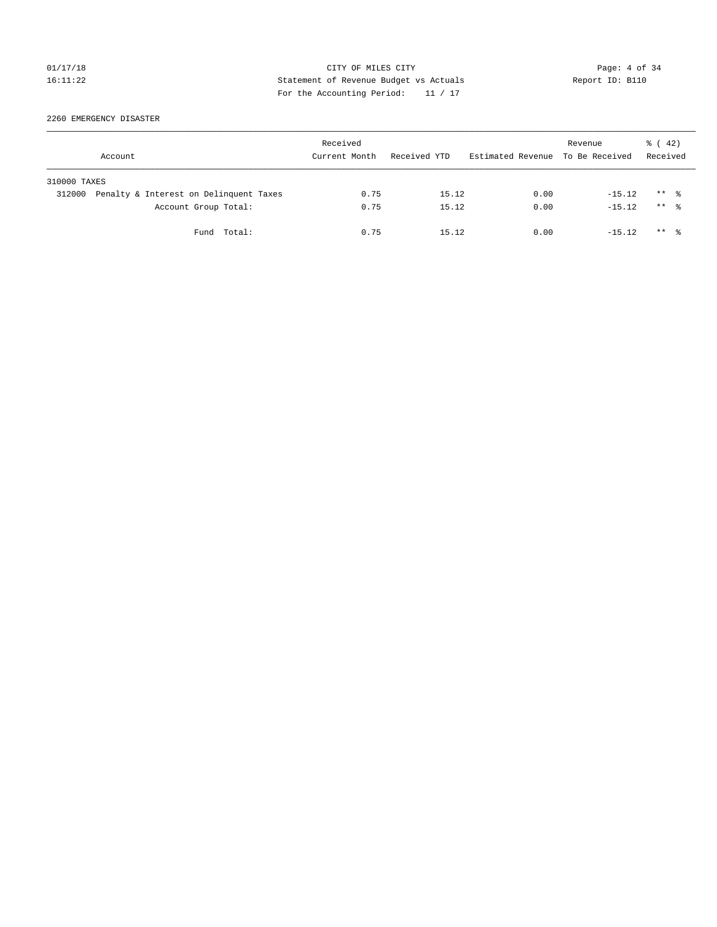# 01/17/18 Page: 4 of 34 16:11:22 Statement of Revenue Budget vs Actuals Report ID: B110 For the Accounting Period: 11 / 17

2260 EMERGENCY DISASTER

|              | Account                                | Received<br>Current Month | Received YTD | Estimated Revenue To Be Received | Revenue  | $\frac{1}{6}$ ( 42)<br>Received |  |
|--------------|----------------------------------------|---------------------------|--------------|----------------------------------|----------|---------------------------------|--|
| 310000 TAXES |                                        |                           |              |                                  |          |                                 |  |
| 312000       | Penalty & Interest on Delinquent Taxes | 0.75                      | 15.12        | 0.00                             | $-15.12$ | $***$ %                         |  |
|              | Account Group Total:                   | 0.75                      | 15.12        | 0.00                             | $-15.12$ | $***$ $\frac{6}{10}$            |  |
|              | Fund Total:                            | 0.75                      | 15.12        | 0.00                             | $-15.12$ | $***$ $\frac{6}{10}$            |  |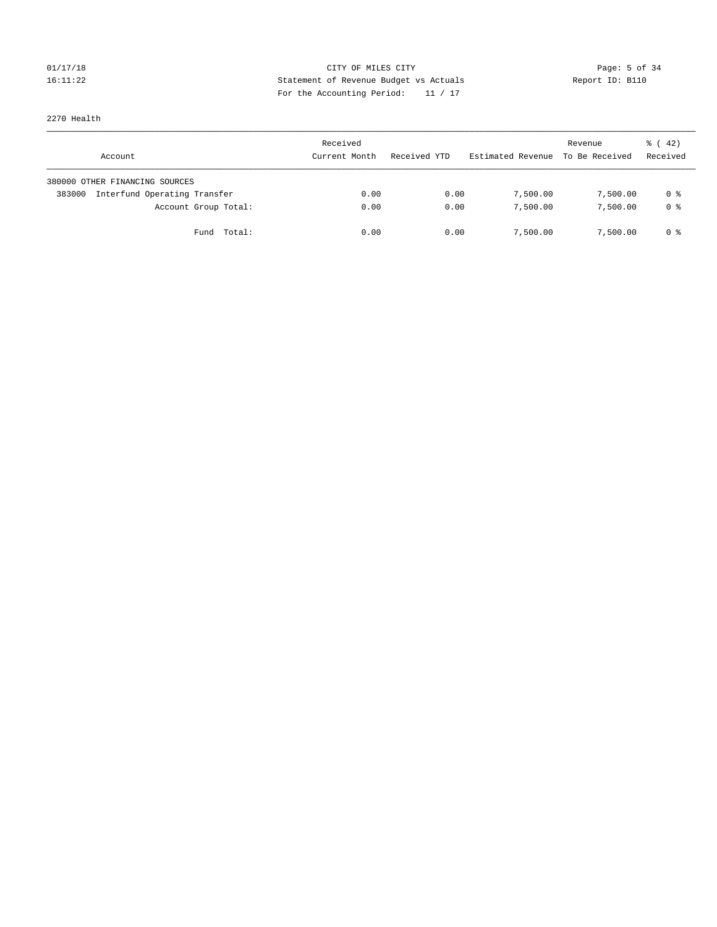# 01/17/18 Page: 5 of 34 16:11:22 Statement of Revenue Budget vs Actuals Report ID: B110 For the Accounting Period: 11 / 17

# 2270 Health

| Account                                | Received<br>Current Month | Received YTD | Estimated Revenue | Revenue<br>To Be Received | $\frac{1}{6}$ ( 42)<br>Received |
|----------------------------------------|---------------------------|--------------|-------------------|---------------------------|---------------------------------|
| 380000 OTHER FINANCING SOURCES         |                           |              |                   |                           |                                 |
| Interfund Operating Transfer<br>383000 | 0.00                      | 0.00         | 7,500.00          | 7,500.00                  | 0 %                             |
| Account Group Total:                   | 0.00                      | 0.00         | 7,500.00          | 7,500.00                  | 0 %                             |
| Fund Total:                            | 0.00                      | 0.00         | 7,500.00          | 7,500.00                  | 0 %                             |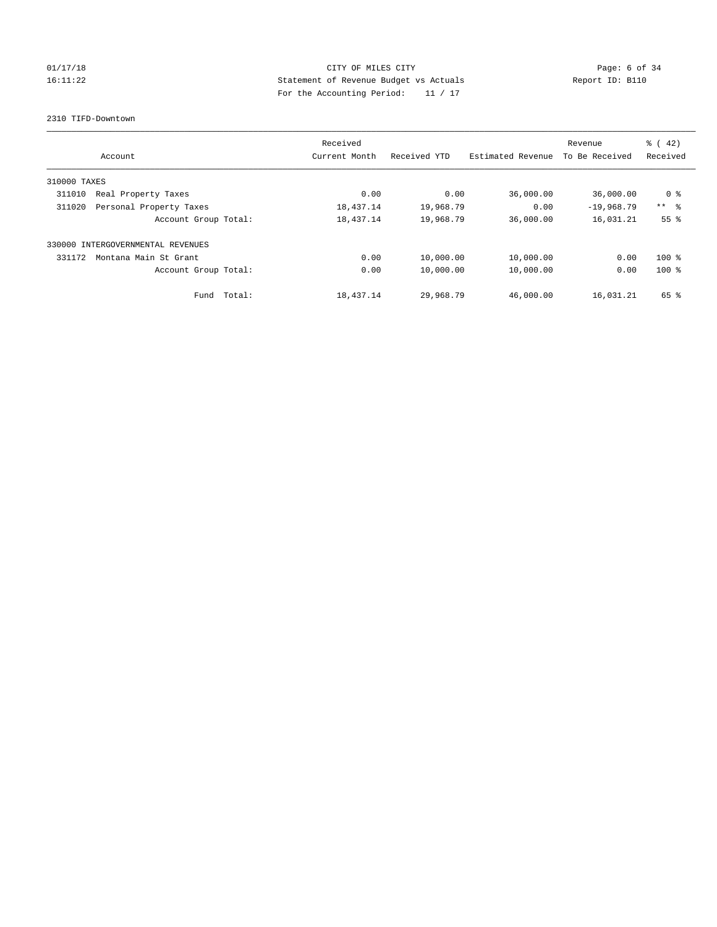# 01/17/18 Page: 6 of 34 16:11:22 Statement of Revenue Budget vs Actuals Report ID: B110 For the Accounting Period: 11 / 17

2310 TIFD-Downtown

|              | Account                    | Received<br>Current Month | Received YTD | Estimated Revenue | Revenue<br>To Be Received | $\frac{1}{6}$ (42)<br>Received |
|--------------|----------------------------|---------------------------|--------------|-------------------|---------------------------|--------------------------------|
|              |                            |                           |              |                   |                           |                                |
| 310000 TAXES |                            |                           |              |                   |                           |                                |
| 311010       | Real Property Taxes        | 0.00                      | 0.00         | 36,000.00         | 36,000.00                 | 0 <sup>8</sup>                 |
| 311020       | Personal Property Taxes    | 18,437.14                 | 19,968.79    | 0.00              | $-19,968.79$              | $***$ $ -$                     |
|              | Account Group Total:       | 18,437.14                 | 19,968.79    | 36,000.00         | 16,031.21                 | 55%                            |
| 330000       | INTERGOVERNMENTAL REVENUES |                           |              |                   |                           |                                |
| 331172       | Montana Main St Grant      | 0.00                      | 10,000.00    | 10,000.00         | 0.00                      | $100$ %                        |
|              | Account Group Total:       | 0.00                      | 10,000.00    | 10,000.00         | 0.00                      | $100*$                         |
|              | Total:<br>Fund             | 18,437.14                 | 29,968.79    | 46,000.00         | 16,031.21                 | 65 %                           |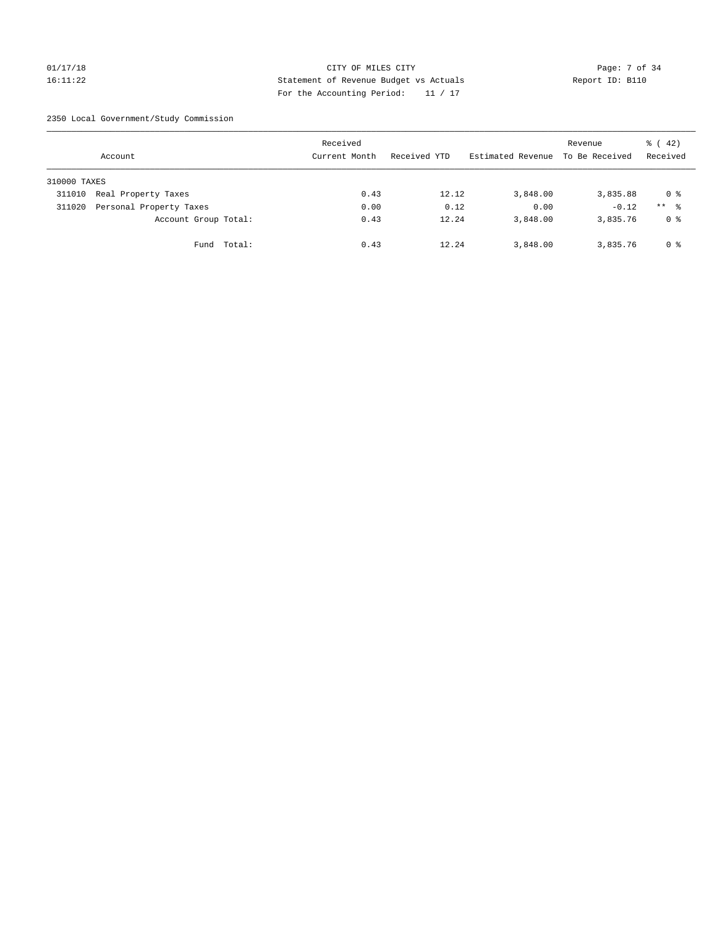# 01/17/18 Page: 7 of 34 16:11:22 Statement of Revenue Budget vs Actuals Report ID: B110 For the Accounting Period: 11 / 17

2350 Local Government/Study Commission

|              | Account                 |             | Received<br>Current Month | Received YTD | Estimated Revenue | Revenue<br>To Be Received | $\frac{1}{6}$ ( 42)<br>Received |
|--------------|-------------------------|-------------|---------------------------|--------------|-------------------|---------------------------|---------------------------------|
| 310000 TAXES |                         |             |                           |              |                   |                           |                                 |
| 311010       | Real Property Taxes     |             | 0.43                      | 12.12        | 3,848.00          | 3,835.88                  | 0 %                             |
| 311020       | Personal Property Taxes |             | 0.00                      | 0.12         | 0.00              | $-0.12$                   | $***$ %                         |
|              | Account Group Total:    |             | 0.43                      | 12.24        | 3,848.00          | 3,835.76                  | 0 %                             |
|              |                         | Fund Total: | 0.43                      | 12.24        | 3,848.00          | 3,835.76                  | 0 %                             |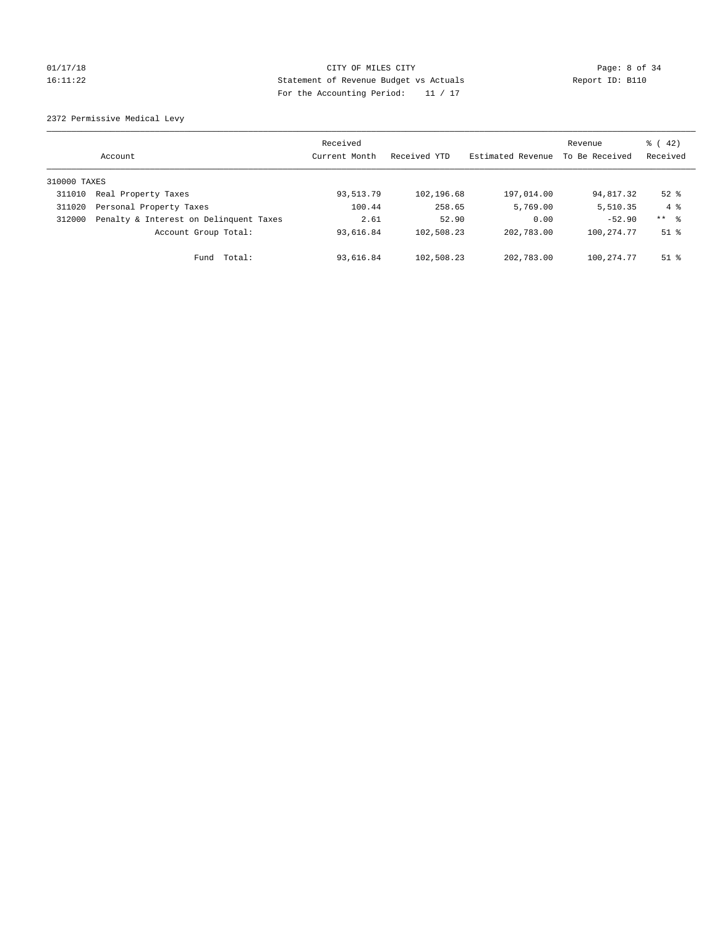# 01/17/18 Page: 8 of 34 16:11:22 Statement of Revenue Budget vs Actuals Report ID: B110 For the Accounting Period: 11 / 17

2372 Permissive Medical Levy

|              | Account                                | Received<br>Current Month | Received YTD | Estimated Revenue | Revenue<br>To Be Received | $\frac{1}{6}$ ( 42)<br>Received |
|--------------|----------------------------------------|---------------------------|--------------|-------------------|---------------------------|---------------------------------|
| 310000 TAXES |                                        |                           |              |                   |                           |                                 |
| 311010       | Real Property Taxes                    | 93,513.79                 | 102,196.68   | 197,014.00        | 94,817.32                 | $52$ $%$                        |
| 311020       | Personal Property Taxes                | 100.44                    | 258.65       | 5,769.00          | 5,510.35                  | $4 \text{ }$                    |
| 312000       | Penalty & Interest on Delinquent Taxes | 2.61                      | 52.90        | 0.00              | $-52.90$                  | ** 8                            |
|              | Account Group Total:                   | 93,616.84                 | 102,508.23   | 202,783.00        | 100, 274. 77              | $51$ $\frac{6}{3}$              |
|              | Total:<br>Fund                         | 93,616.84                 | 102,508.23   | 202,783.00        | 100, 274. 77              | $51$ %                          |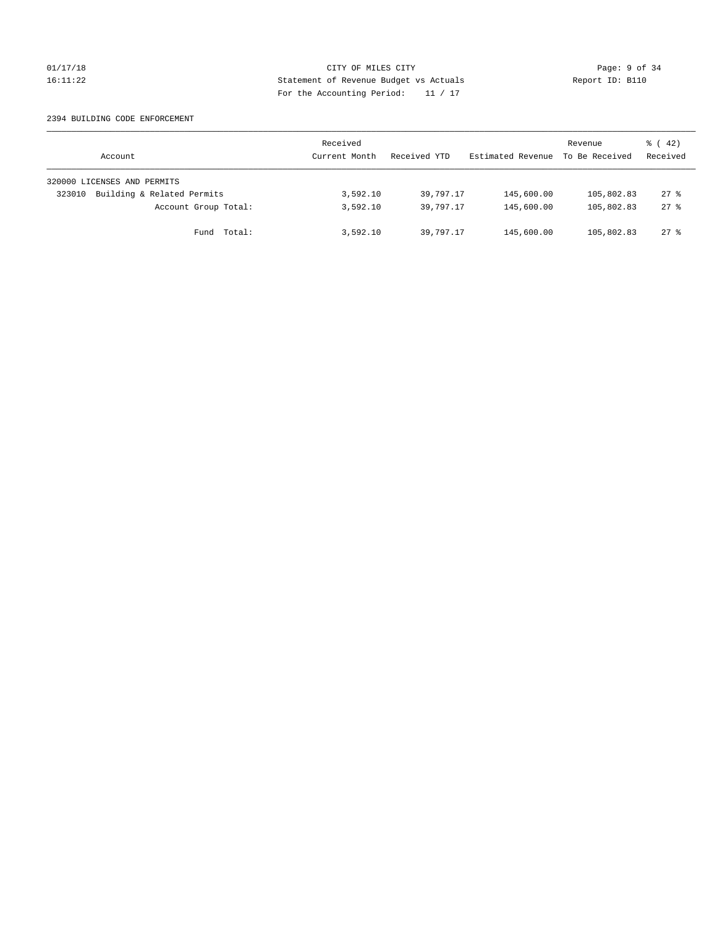### 2394 BUILDING CODE ENFORCEMENT

| Account                              | Received<br>Current Month | Received YTD | Estimated Revenue | Revenue<br>To Be Received | $\frac{1}{6}$ ( 42)<br>Received |
|--------------------------------------|---------------------------|--------------|-------------------|---------------------------|---------------------------------|
| 320000 LICENSES AND PERMITS          |                           |              |                   |                           |                                 |
| Building & Related Permits<br>323010 | 3,592.10                  | 39,797.17    | 145,600.00        | 105,802.83                | $27$ %                          |
| Account Group Total:                 | 3,592.10                  | 39,797.17    | 145,600.00        | 105,802.83                | 278                             |
| Fund Total:                          | 3,592.10                  | 39,797.17    | 145,600.00        | 105,802.83                | $27$ $\frac{6}{5}$              |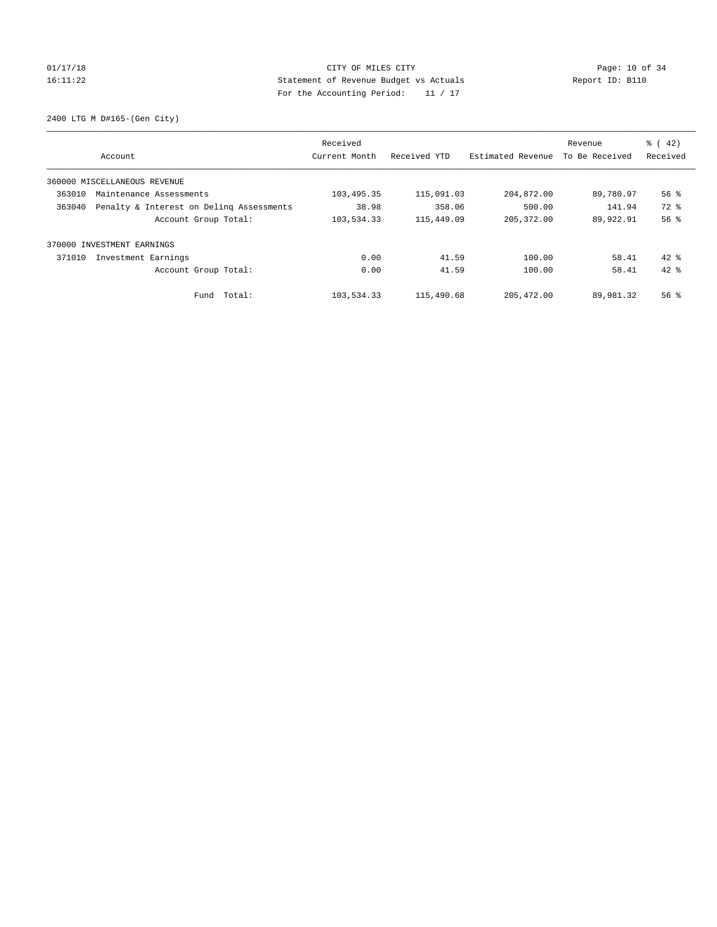2400 LTG M D#165-(Gen City)

|        |                                          | Received      |              |                   | Revenue        | $\frac{1}{6}$ ( 42) |
|--------|------------------------------------------|---------------|--------------|-------------------|----------------|---------------------|
|        | Account                                  | Current Month | Received YTD | Estimated Revenue | To Be Received | Received            |
|        | 360000 MISCELLANEOUS REVENUE             |               |              |                   |                |                     |
| 363010 | Maintenance Assessments                  | 103, 495.35   | 115,091.03   | 204,872.00        | 89,780.97      | $56$ $\frac{6}{3}$  |
| 363040 | Penalty & Interest on Deling Assessments | 38.98         | 358.06       | 500.00            | 141.94         | $72$ $%$            |
|        | Account Group Total:                     | 103,534.33    | 115,449.09   | 205, 372.00       | 89,922.91      | 56%                 |
|        | 370000 INVESTMENT EARNINGS               |               |              |                   |                |                     |
| 371010 | Investment Earnings                      | 0.00          | 41.59        | 100.00            | 58.41          | $42*$               |
|        | Account Group Total:                     | 0.00          | 41.59        | 100.00            | 58.41          | $42*$               |
|        | Fund Total:                              | 103,534.33    | 115,490.68   | 205, 472, 00      | 89,981.32      | 56 <sup>8</sup>     |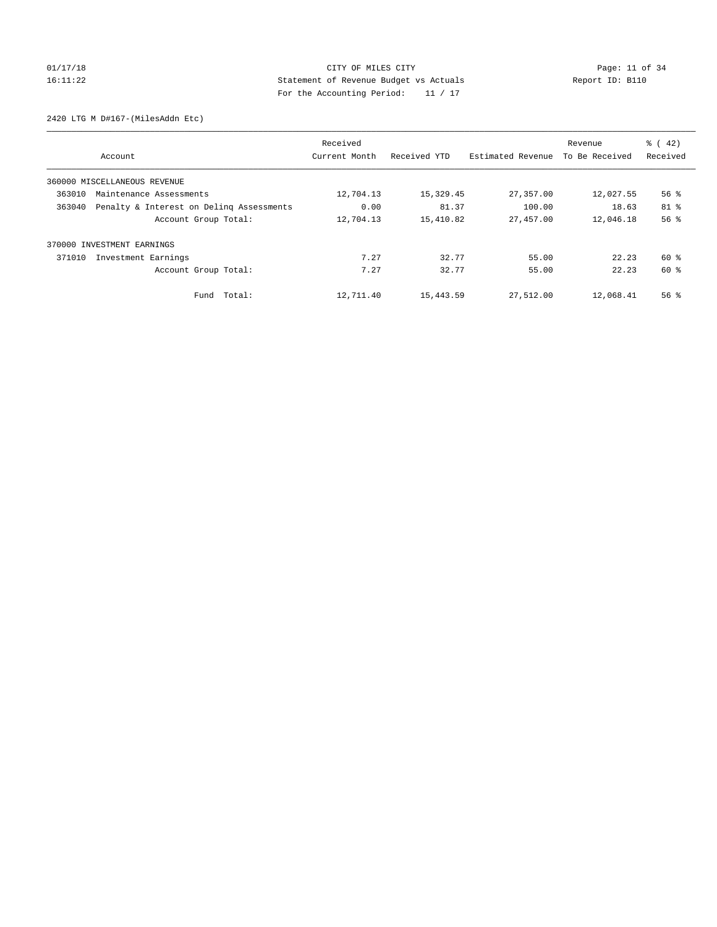2420 LTG M D#167-(MilesAddn Etc)

|        |                                          | Received      |              |                   | Revenue        | $\frac{1}{6}$ ( 42) |
|--------|------------------------------------------|---------------|--------------|-------------------|----------------|---------------------|
|        | Account                                  | Current Month | Received YTD | Estimated Revenue | To Be Received | Received            |
|        | 360000 MISCELLANEOUS REVENUE             |               |              |                   |                |                     |
| 363010 | Maintenance Assessments                  | 12,704.13     | 15,329.45    | 27,357.00         | 12,027.55      | $56$ $\frac{6}{3}$  |
| 363040 | Penalty & Interest on Deling Assessments | 0.00          | 81.37        | 100.00            | 18.63          | 81 %                |
|        | Account Group Total:                     | 12,704.13     | 15,410.82    | 27,457.00         | 12,046.18      | 56%                 |
| 370000 | INVESTMENT EARNINGS                      |               |              |                   |                |                     |
| 371010 | Investment Earnings                      | 7.27          | 32.77        | 55.00             | 22.23          | 60 %                |
|        | Account Group Total:                     | 7.27          | 32.77        | 55.00             | 22.23          | 60 %                |
|        | Fund Total:                              | 12,711.40     | 15,443.59    | 27,512.00         | 12,068.41      | $56$ $\frac{6}{3}$  |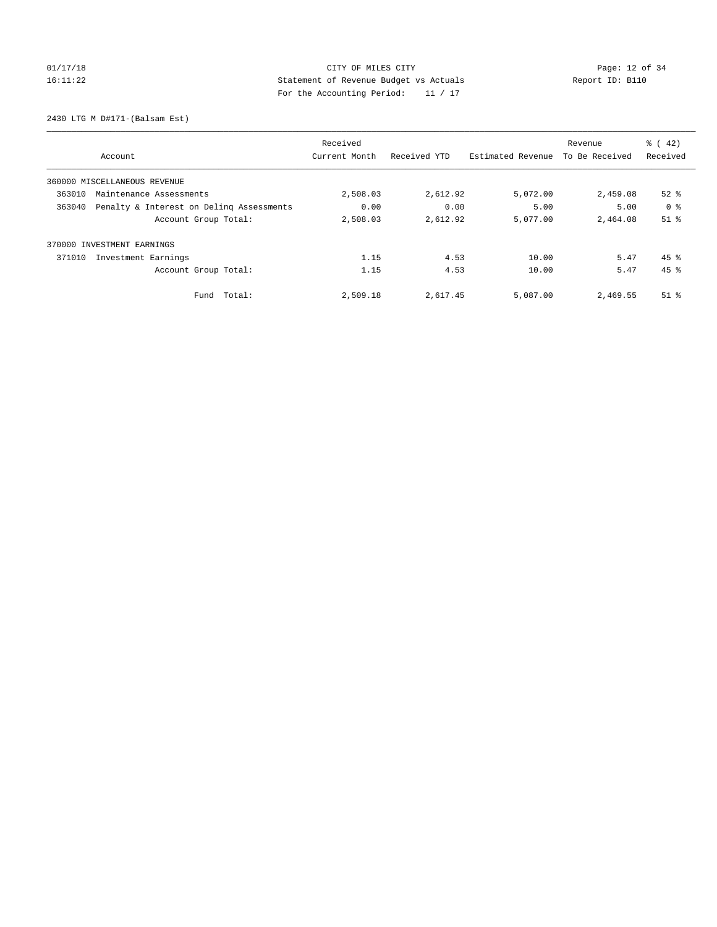2430 LTG M D#171-(Balsam Est)

|                                                    | Received      |              |                   | Revenue        | $\frac{1}{6}$ ( 42) |
|----------------------------------------------------|---------------|--------------|-------------------|----------------|---------------------|
| Account                                            | Current Month | Received YTD | Estimated Revenue | To Be Received | Received            |
| 360000 MISCELLANEOUS REVENUE                       |               |              |                   |                |                     |
| 363010<br>Maintenance Assessments                  | 2,508.03      | 2,612.92     | 5,072.00          | 2,459.08       | $52$ $%$            |
| Penalty & Interest on Deling Assessments<br>363040 | 0.00          | 0.00         | 5.00              | 5.00           | 0 <sup>8</sup>      |
| Account Group Total:                               | 2,508.03      | 2,612.92     | 5,077.00          | 2,464.08       | $51$ $%$            |
| 370000 INVESTMENT EARNINGS                         |               |              |                   |                |                     |
| 371010<br>Investment Earnings                      | 1.15          | 4.53         | 10.00             | 5.47           | $45$ $\frac{6}{3}$  |
| Account Group Total:                               | 1.15          | 4.53         | 10.00             | 5.47           | $45$ $%$            |
| Total:<br>Fund                                     | 2,509.18      | 2,617.45     | 5,087.00          | 2,469.55       | $51$ %              |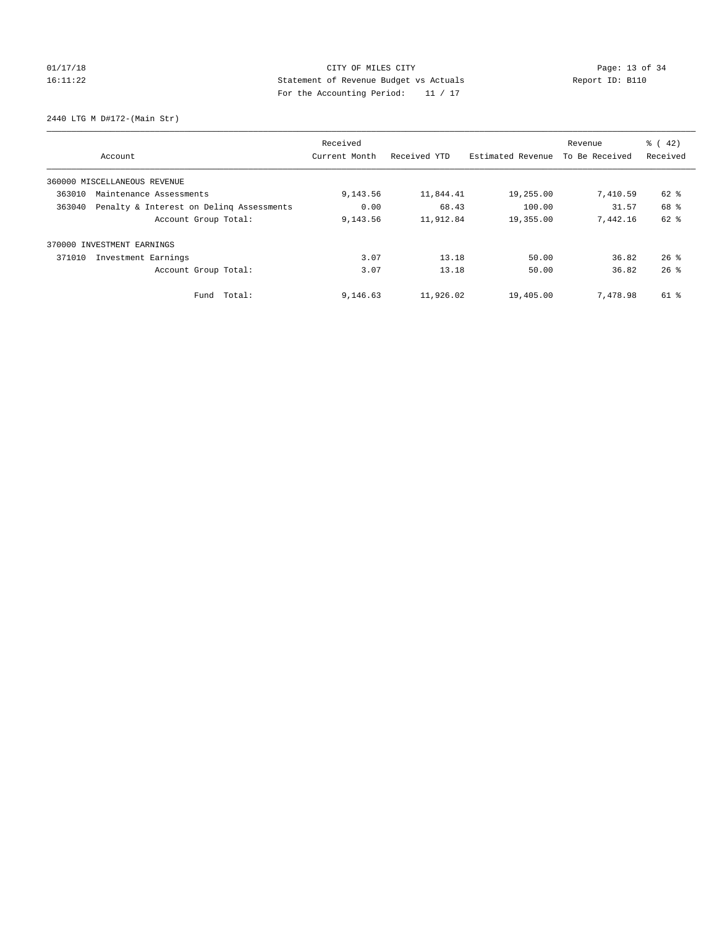2440 LTG M D#172-(Main Str)

|        |                                          | Received      |              |                   | Revenue        | $\frac{1}{6}$ ( 42) |
|--------|------------------------------------------|---------------|--------------|-------------------|----------------|---------------------|
|        | Account                                  | Current Month | Received YTD | Estimated Revenue | To Be Received | Received            |
|        | 360000 MISCELLANEOUS REVENUE             |               |              |                   |                |                     |
| 363010 | Maintenance Assessments                  | 9,143.56      | 11,844.41    | 19,255.00         | 7,410.59       | 62 %                |
| 363040 | Penalty & Interest on Deling Assessments | 0.00          | 68.43        | 100.00            | 31.57          | 68 %                |
|        | Account Group Total:                     | 9,143.56      | 11,912.84    | 19,355.00         | 7,442.16       | 62 %                |
| 370000 | INVESTMENT EARNINGS                      |               |              |                   |                |                     |
| 371010 | Investment Earnings                      | 3.07          | 13.18        | 50.00             | 36.82          | $26$ %              |
|        | Account Group Total:                     | 3.07          | 13.18        | 50.00             | 36.82          | 26%                 |
|        | Fund Total:                              | 9,146.63      | 11,926.02    | 19,405.00         | 7,478.98       | 61 %                |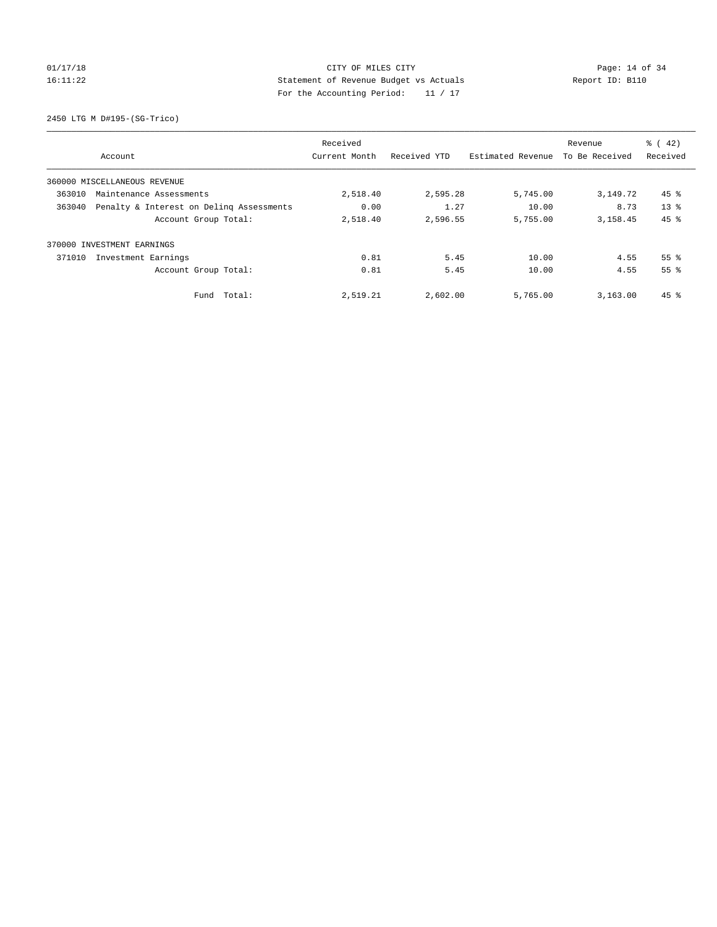# 01/17/18 Page: 14 of 34 16:11:22 Statement of Revenue Budget vs Actuals Report ID: B110 For the Accounting Period: 11 / 17

2450 LTG M D#195-(SG-Trico)

|        |                                          | Received      |              |                   | Revenue        | $\frac{1}{6}$ ( 42) |
|--------|------------------------------------------|---------------|--------------|-------------------|----------------|---------------------|
|        | Account                                  | Current Month | Received YTD | Estimated Revenue | To Be Received | Received            |
|        | 360000 MISCELLANEOUS REVENUE             |               |              |                   |                |                     |
| 363010 | Maintenance Assessments                  | 2,518.40      | 2,595.28     | 5,745.00          | 3,149.72       | $45$ %              |
| 363040 | Penalty & Interest on Deling Assessments | 0.00          | 1.27         | 10.00             | 8.73           | 13 <sup>8</sup>     |
|        | Account Group Total:                     | 2,518.40      | 2,596.55     | 5,755.00          | 3, 158, 45     | 45 %                |
|        | 370000 INVESTMENT EARNINGS               |               |              |                   |                |                     |
| 371010 | Investment Earnings                      | 0.81          | 5.45         | 10.00             | 4.55           | 55 <sup>8</sup>     |
|        | Account Group Total:                     | 0.81          | 5.45         | 10.00             | 4.55           | 55 <sup>8</sup>     |
|        | Fund Total:                              | 2,519.21      | 2,602.00     | 5,765.00          | 3.163.00       | $45$ $\frac{6}{3}$  |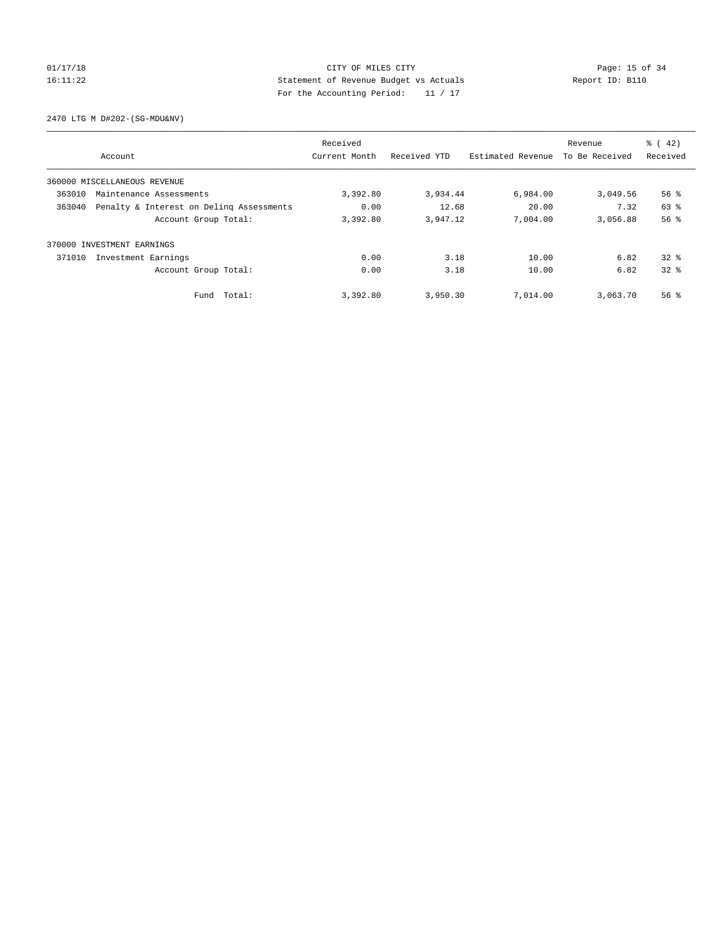2470 LTG M D#202-(SG-MDU&NV)

|        |                                          | Received      |              |                   | Revenue        | $\frac{1}{6}$ ( 42) |
|--------|------------------------------------------|---------------|--------------|-------------------|----------------|---------------------|
|        | Account                                  | Current Month | Received YTD | Estimated Revenue | To Be Received | Received            |
|        | 360000 MISCELLANEOUS REVENUE             |               |              |                   |                |                     |
| 363010 | Maintenance Assessments                  | 3,392.80      | 3,934.44     | 6,984.00          | 3,049.56       | $56$ $\frac{6}{3}$  |
| 363040 | Penalty & Interest on Deling Assessments | 0.00          | 12.68        | 20.00             | 7.32           | 63 %                |
|        | Account Group Total:                     | 3,392.80      | 3,947.12     | 7,004.00          | 3,056.88       | 56%                 |
| 370000 | INVESTMENT EARNINGS                      |               |              |                   |                |                     |
| 371010 | Investment Earnings                      | 0.00          | 3.18         | 10.00             | 6.82           | $32*$               |
|        | Account Group Total:                     | 0.00          | 3.18         | 10.00             | 6.82           | $32*$               |
|        | Fund Total:                              | 3,392.80      | 3,950.30     | 7,014.00          | 3,063.70       | $56$ $\frac{6}{3}$  |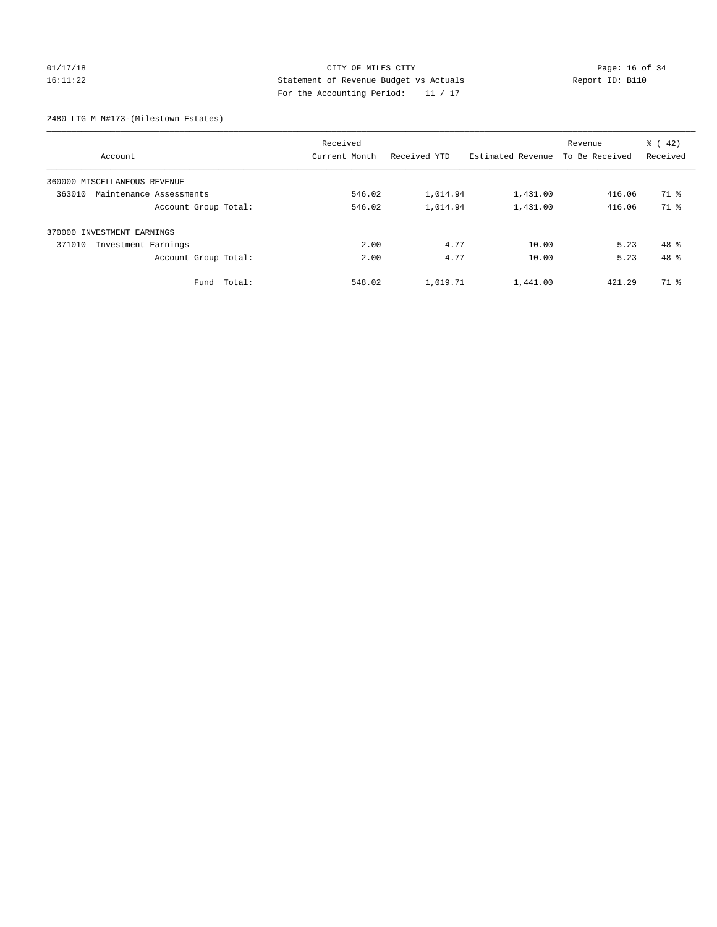# 01/17/18 Page: 16 of 34 16:11:22 Statement of Revenue Budget vs Actuals Report ID: B110 For the Accounting Period: 11 / 17

2480 LTG M M#173-(Milestown Estates)

| Account                           | Received<br>Current Month | Received YTD | Estimated Revenue | Revenue<br>To Be Received | $\frac{1}{6}$ ( 42)<br>Received |
|-----------------------------------|---------------------------|--------------|-------------------|---------------------------|---------------------------------|
|                                   |                           |              |                   |                           |                                 |
| 360000 MISCELLANEOUS REVENUE      |                           |              |                   |                           |                                 |
| 363010<br>Maintenance Assessments | 546.02                    | 1,014.94     | 1,431.00          | 416.06                    | 71 %                            |
| Account Group Total:              | 546.02                    | 1,014.94     | 1,431.00          | 416.06                    | 71 %                            |
| 370000 INVESTMENT EARNINGS        |                           |              |                   |                           |                                 |
| 371010<br>Investment Earnings     | 2.00                      | 4.77         | 10.00             | 5.23                      | $48*$                           |
| Account Group Total:              | 2.00                      | 4.77         | 10.00             | 5.23                      | 48 %                            |
| Fund Total:                       | 548.02                    | 1,019.71     | 1,441.00          | 421.29                    | 71 %                            |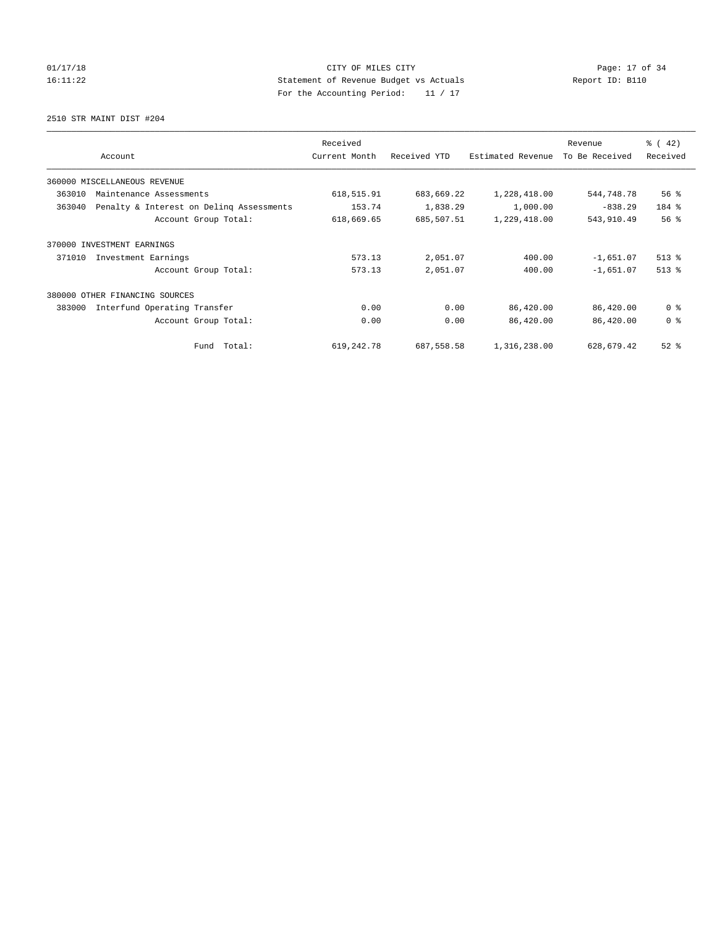# $CITY$  OF MILES CITY OF MILES CITY CHARGE PAGE: 17 of 34 16:11:22 Statement of Revenue Budget vs Actuals Report ID: B110 For the Accounting Period: 11 / 17

2510 STR MAINT DIST #204

|                                                    | Received      |              |                   | Revenue        | $\frac{1}{6}$ ( 42) |
|----------------------------------------------------|---------------|--------------|-------------------|----------------|---------------------|
| Account                                            | Current Month | Received YTD | Estimated Revenue | To Be Received | Received            |
| 360000 MISCELLANEOUS REVENUE                       |               |              |                   |                |                     |
| 363010<br>Maintenance Assessments                  | 618,515.91    | 683,669.22   | 1,228,418.00      | 544,748.78     | 56%                 |
| Penalty & Interest on Deling Assessments<br>363040 | 153.74        | 1,838.29     | 1,000.00          | $-838.29$      | 184 %               |
| Account Group Total:                               | 618,669.65    | 685,507.51   | 1,229,418.00      | 543,910.49     | 56%                 |
| 370000 INVESTMENT EARNINGS                         |               |              |                   |                |                     |
| 371010<br>Investment Earnings                      | 573.13        | 2,051.07     | 400.00            | $-1,651.07$    | $513$ %             |
| Account Group Total:                               | 573.13        | 2,051.07     | 400.00            | $-1,651.07$    | $513$ %             |
| 380000<br>OTHER FINANCING SOURCES                  |               |              |                   |                |                     |
| Interfund Operating Transfer<br>383000             | 0.00          | 0.00         | 86,420.00         | 86,420.00      | 0 <sup>8</sup>      |
| Account Group Total:                               | 0.00          | 0.00         | 86,420.00         | 86,420.00      | 0 <sup>8</sup>      |
| Fund Total:                                        | 619, 242.78   | 687,558.58   | 1,316,238.00      | 628,679.42     | $52$ $%$            |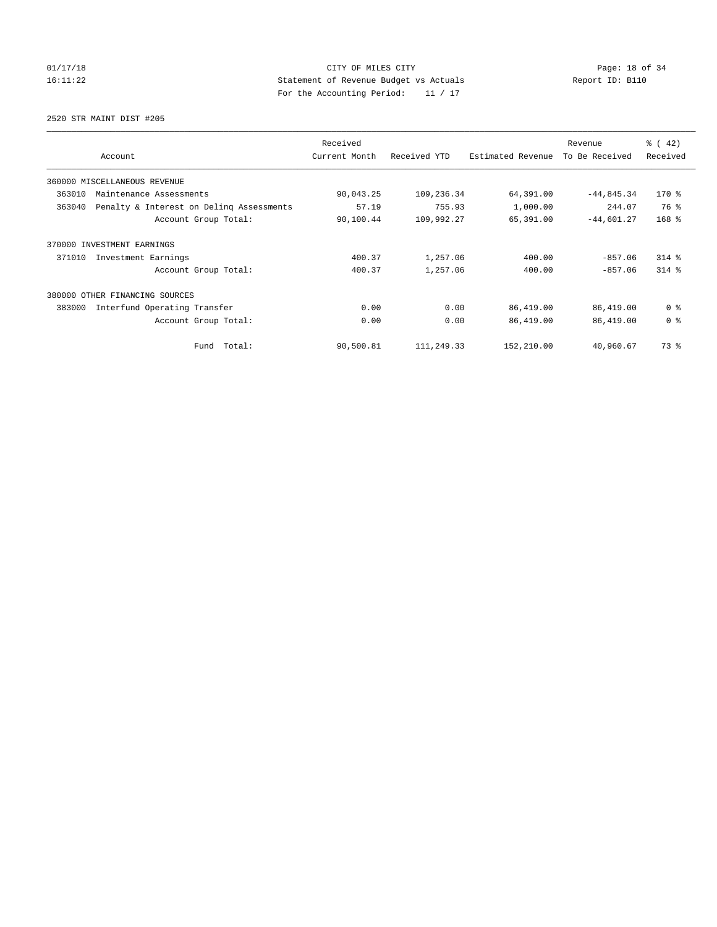2520 STR MAINT DIST #205

|                                                    | Received      |              |                   | Revenue        | $\frac{1}{6}$ ( 42) |
|----------------------------------------------------|---------------|--------------|-------------------|----------------|---------------------|
| Account                                            | Current Month | Received YTD | Estimated Revenue | To Be Received | Received            |
| 360000 MISCELLANEOUS REVENUE                       |               |              |                   |                |                     |
| 363010<br>Maintenance Assessments                  | 90,043.25     | 109,236.34   | 64,391.00         | $-44,845.34$   | $170*$              |
| 363040<br>Penalty & Interest on Deling Assessments | 57.19         | 755.93       | 1,000.00          | 244.07         | 76 %                |
| Account Group Total:                               | 90,100.44     | 109,992.27   | 65,391.00         | $-44,601.27$   | $168$ %             |
| 370000 INVESTMENT EARNINGS                         |               |              |                   |                |                     |
| 371010<br>Investment Earnings                      | 400.37        | 1,257.06     | 400.00            | $-857.06$      | $314$ $%$           |
| Account Group Total:                               | 400.37        | 1,257.06     | 400.00            | $-857.06$      | $314$ $%$           |
| 380000<br>OTHER FINANCING SOURCES                  |               |              |                   |                |                     |
| Interfund Operating Transfer<br>383000             | 0.00          | 0.00         | 86,419.00         | 86,419.00      | 0 <sup>8</sup>      |
| Account Group Total:                               | 0.00          | 0.00         | 86,419.00         | 86,419.00      | 0 <sup>8</sup>      |
| Fund Total:                                        | 90,500.81     | 111,249.33   | 152,210.00        | 40,960.67      | 73.8                |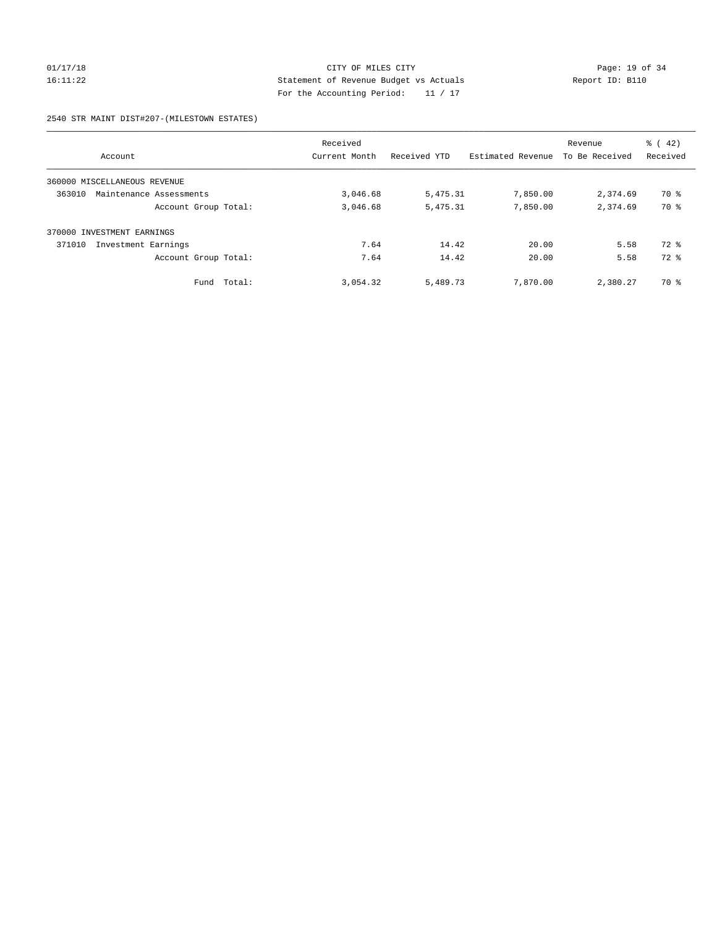# 01/17/18 Page: 19 of 34 16:11:22 Statement of Revenue Budget vs Actuals Report ID: B110 For the Accounting Period: 11 / 17

### 2540 STR MAINT DIST#207-(MILESTOWN ESTATES)

| Account                           | Received<br>Current Month | Received YTD | Estimated Revenue | Revenue<br>To Be Received | $\frac{1}{6}$ ( 42)<br>Received |
|-----------------------------------|---------------------------|--------------|-------------------|---------------------------|---------------------------------|
| 360000 MISCELLANEOUS REVENUE      |                           |              |                   |                           |                                 |
| 363010<br>Maintenance Assessments | 3,046.68                  | 5,475.31     | 7,850.00          | 2,374.69                  | 70 %                            |
| Account Group Total:              | 3,046.68                  | 5,475.31     | 7,850.00          | 2,374.69                  | 70 %                            |
| INVESTMENT EARNINGS<br>370000     |                           |              |                   |                           |                                 |
| 371010<br>Investment Earnings     | 7.64                      | 14.42        | 20.00             | 5.58                      | $72$ $%$                        |
| Account Group Total:              | 7.64                      | 14.42        | 20.00             | 5.58                      | $72$ $%$                        |
| Fund Total:                       | 3,054.32                  | 5,489.73     | 7,870,00          | 2,380.27                  | 70 %                            |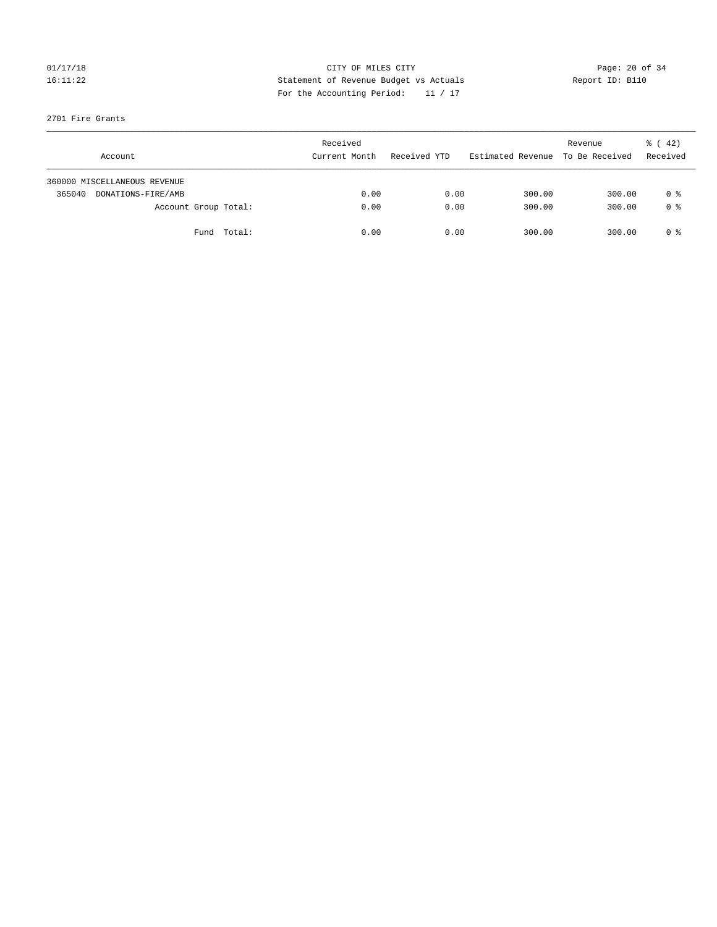## 01/17/18 Page: 20 of 34 16:11:22 Statement of Revenue Budget vs Actuals Report ID: B110 For the Accounting Period: 11 / 17

## 2701 Fire Grants

|        | Account                      |             | Received<br>Current Month | Received YTD | Estimated Revenue | Revenue<br>To Be Received | $\frac{1}{6}$ ( 42)<br>Received |
|--------|------------------------------|-------------|---------------------------|--------------|-------------------|---------------------------|---------------------------------|
|        | 360000 MISCELLANEOUS REVENUE |             |                           |              |                   |                           |                                 |
| 365040 | DONATIONS-FIRE/AMB           |             | 0.00                      | 0.00         | 300.00            | 300.00                    | 0 %                             |
|        | Account Group Total:         |             | 0.00                      | 0.00         | 300.00            | 300.00                    | 0 <sup>8</sup>                  |
|        |                              | Fund Total: | 0.00                      | 0.00         | 300.00            | 300.00                    | 0 %                             |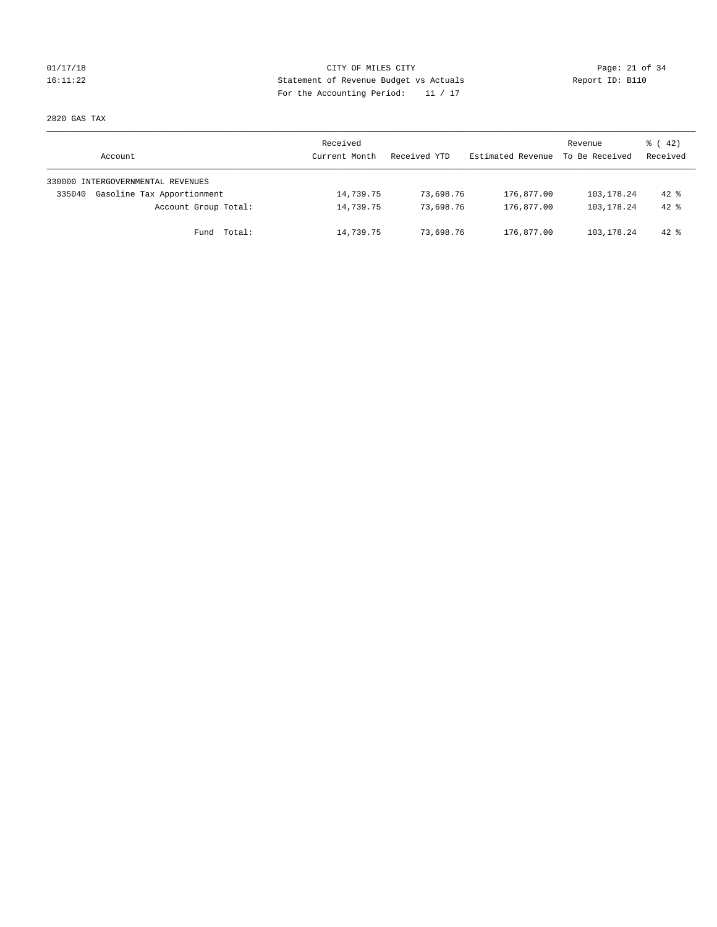## 01/17/18 Page: 21 of 34 16:11:22 Statement of Revenue Budget vs Actuals Report ID: B110 For the Accounting Period: 11 / 17

2820 GAS TAX

| Account                              | Received<br>Current Month | Received YTD | Estimated Revenue | Revenue<br>To Be Received | $\frac{1}{6}$ ( 42)<br>Received |
|--------------------------------------|---------------------------|--------------|-------------------|---------------------------|---------------------------------|
| 330000 INTERGOVERNMENTAL REVENUES    |                           |              |                   |                           |                                 |
| Gasoline Tax Apportionment<br>335040 | 14,739.75                 | 73,698.76    | 176,877.00        | 103,178.24                | $42*$                           |
| Account Group Total:                 | 14,739.75                 | 73,698.76    | 176,877.00        | 103,178.24                | $42*$                           |
| Fund Total:                          | 14,739.75                 | 73,698.76    | 176,877.00        | 103, 178. 24              | $42*$                           |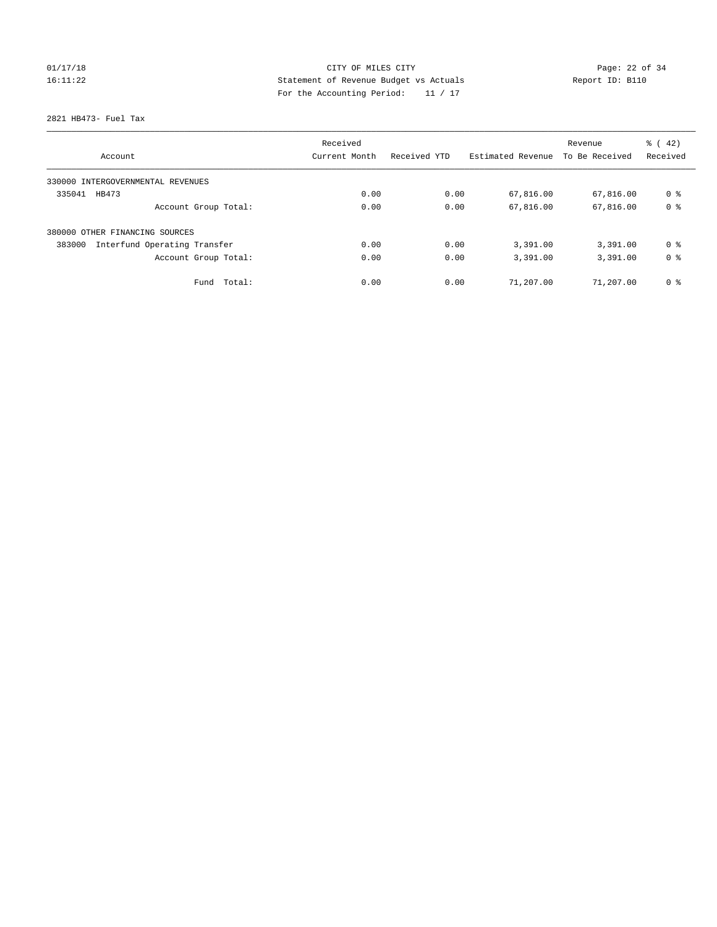# 01/17/18 Page: 22 of 34 16:11:22 Statement of Revenue Budget vs Actuals Report ID: B110 For the Accounting Period: 11 / 17

2821 HB473- Fuel Tax

| Account                                | Received<br>Current Month | Received YTD | Estimated Revenue | Revenue<br>To Be Received | $\frac{1}{6}$ ( 42)<br>Received |
|----------------------------------------|---------------------------|--------------|-------------------|---------------------------|---------------------------------|
|                                        |                           |              |                   |                           |                                 |
| 330000 INTERGOVERNMENTAL REVENUES      |                           |              |                   |                           |                                 |
| 335041<br>HB473                        | 0.00                      | 0.00         | 67,816.00         | 67,816.00                 | 0 <sup>8</sup>                  |
| Account Group Total:                   | 0.00                      | 0.00         | 67,816.00         | 67,816.00                 | 0 <sup>8</sup>                  |
| 380000 OTHER FINANCING SOURCES         |                           |              |                   |                           |                                 |
| Interfund Operating Transfer<br>383000 | 0.00                      | 0.00         | 3,391.00          | 3,391.00                  | 0 <sup>8</sup>                  |
| Account Group Total:                   | 0.00                      | 0.00         | 3,391.00          | 3,391.00                  | 0 <sup>8</sup>                  |
| Fund Total:                            | 0.00                      | 0.00         | 71,207.00         | 71,207.00                 | 0 <sup>8</sup>                  |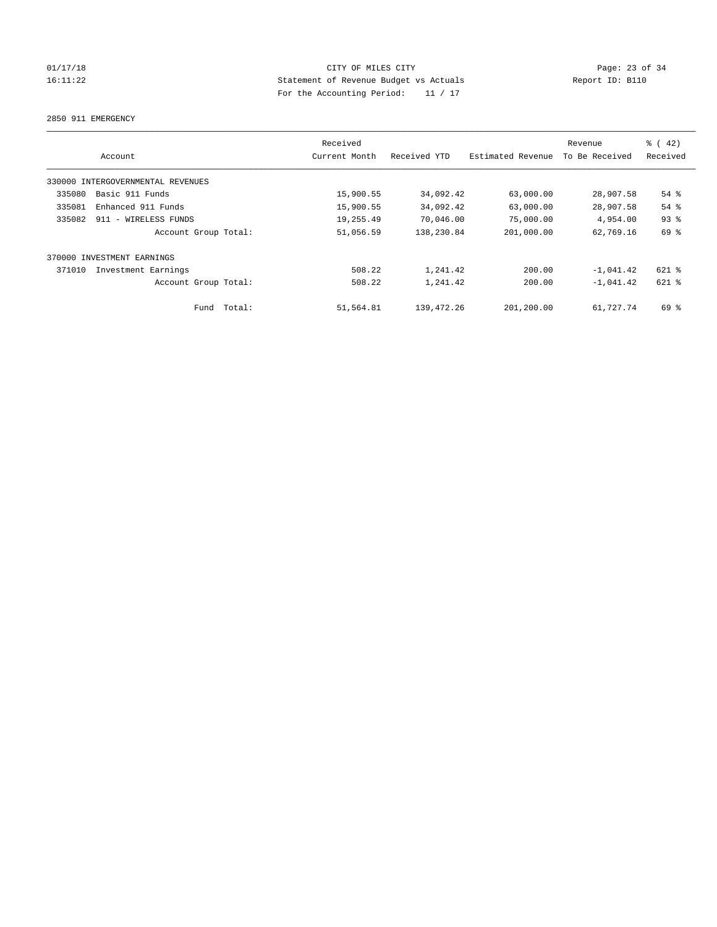2850 911 EMERGENCY

|        |                                   | Received      |              |                   | Revenue        | $\frac{1}{6}$ ( 42) |
|--------|-----------------------------------|---------------|--------------|-------------------|----------------|---------------------|
|        | Account                           | Current Month | Received YTD | Estimated Revenue | To Be Received | Received            |
|        | 330000 INTERGOVERNMENTAL REVENUES |               |              |                   |                |                     |
| 335080 | Basic 911 Funds                   | 15,900.55     | 34,092.42    | 63,000.00         | 28,907.58      | $54$ $%$            |
| 335081 | Enhanced 911 Funds                | 15,900.55     | 34,092.42    | 63,000.00         | 28,907.58      | 54 %                |
| 335082 | 911 - WIRELESS FUNDS              | 19,255.49     | 70,046.00    | 75,000.00         | 4,954.00       | 93%                 |
|        | Account Group Total:              | 51,056.59     | 138,230.84   | 201,000.00        | 62,769.16      | 69 %                |
| 370000 | INVESTMENT EARNINGS               |               |              |                   |                |                     |
| 371010 | Investment Earnings               | 508.22        | 1,241.42     | 200.00            | $-1,041.42$    | 621 %               |
|        | Account Group Total:              | 508.22        | 1,241.42     | 200.00            | $-1.041.42$    | $621$ $%$           |
|        | Total:<br>Fund                    | 51,564.81     | 139,472.26   | 201,200.00        | 61,727.74      | 69 %                |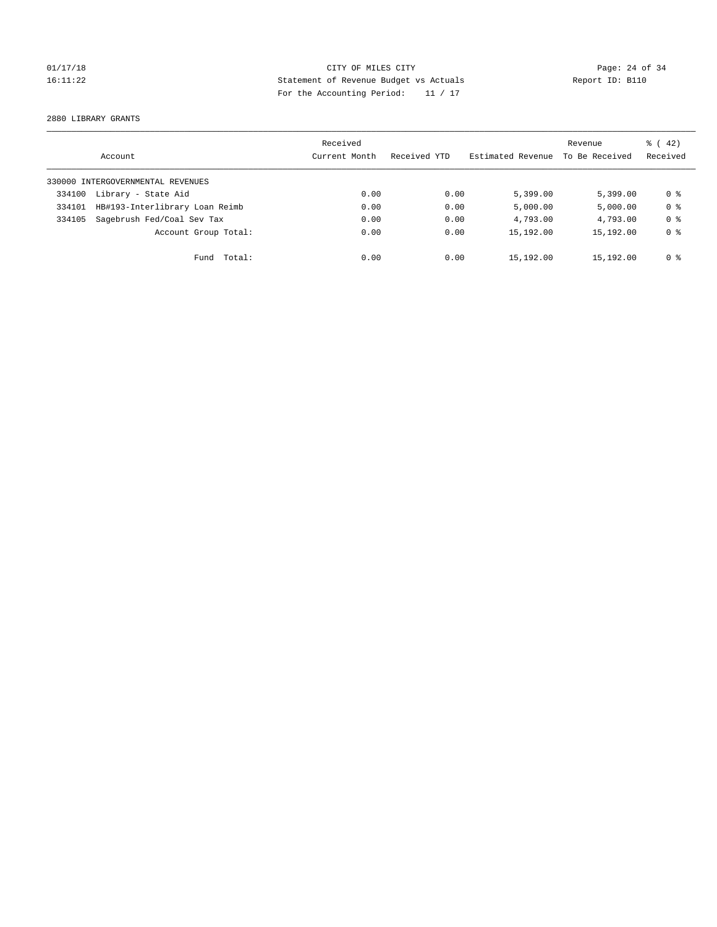2880 LIBRARY GRANTS

|        | Account                           | Received<br>Current Month | Received YTD | Estimated Revenue | Revenue<br>To Be Received | $\frac{1}{6}$ ( 42)<br>Received |
|--------|-----------------------------------|---------------------------|--------------|-------------------|---------------------------|---------------------------------|
|        | 330000 INTERGOVERNMENTAL REVENUES |                           |              |                   |                           |                                 |
| 334100 | Library - State Aid               | 0.00                      | 0.00         | 5,399.00          | 5.399.00                  | 0 ક                             |
| 334101 | HB#193-Interlibrary Loan Reimb    | 0.00                      | 0.00         | 5,000.00          | 5,000.00                  | 0 <sup>8</sup>                  |
| 334105 | Sagebrush Fed/Coal Sev Tax        | 0.00                      | 0.00         | 4,793.00          | 4,793.00                  | 0 <sup>8</sup>                  |
|        | Account Group Total:              | 0.00                      | 0.00         | 15,192.00         | 15,192.00                 | 0 <sup>8</sup>                  |
|        | Fund Total:                       | 0.00                      | 0.00         | 15,192.00         | 15,192.00                 | 0 %                             |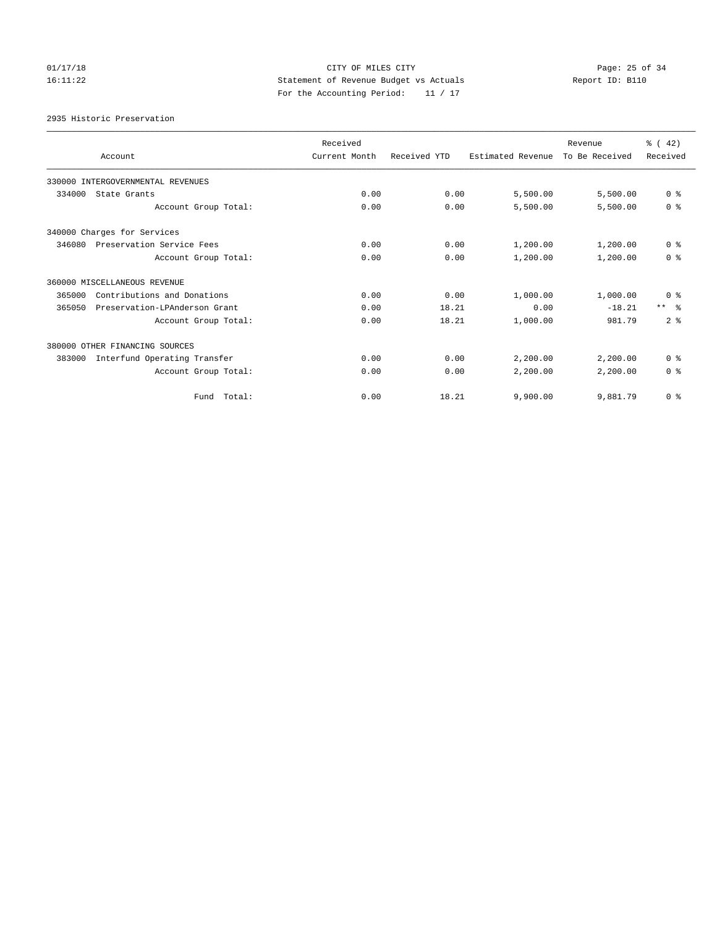# $CITY$  OF MILES  $CITY$  and the contract of  $CITY$  and  $CITY$  and  $Page: 25$  of 34 16:11:22 Statement of Revenue Budget vs Actuals Report ID: B110 For the Accounting Period: 11 / 17

2935 Historic Preservation

|        | Account                           | Received<br>Current Month | Received YTD | Estimated Revenue | Revenue<br>To Be Received | $\frac{1}{6}$ (42)<br>Received |
|--------|-----------------------------------|---------------------------|--------------|-------------------|---------------------------|--------------------------------|
|        |                                   |                           |              |                   |                           |                                |
|        | 330000 INTERGOVERNMENTAL REVENUES |                           |              |                   |                           |                                |
| 334000 | State Grants                      | 0.00                      | 0.00         | 5,500.00          | 5,500.00                  | 0 <sup>8</sup>                 |
|        | Account Group Total:              | 0.00                      | 0.00         | 5,500.00          | 5,500.00                  | 0 <sup>8</sup>                 |
|        | 340000 Charges for Services       |                           |              |                   |                           |                                |
| 346080 | Preservation Service Fees         | 0.00                      | 0.00         | 1,200.00          | 1,200.00                  | 0 <sup>8</sup>                 |
|        | Account Group Total:              | 0.00                      | 0.00         | 1,200.00          | 1,200.00                  | 0 <sup>8</sup>                 |
|        | 360000 MISCELLANEOUS REVENUE      |                           |              |                   |                           |                                |
| 365000 | Contributions and Donations       | 0.00                      | 0.00         | 1,000.00          | 1,000.00                  | 0 <sup>8</sup>                 |
| 365050 | Preservation-LPAnderson Grant     | 0.00                      | 18.21        | 0.00              | $-18.21$                  | $***$ $\approx$                |
|        | Account Group Total:              | 0.00                      | 18.21        | 1,000.00          | 981.79                    | 2 <sup>8</sup>                 |
|        | 380000 OTHER FINANCING SOURCES    |                           |              |                   |                           |                                |
| 383000 | Interfund Operating Transfer      | 0.00                      | 0.00         | 2,200.00          | 2,200.00                  | 0 <sup>8</sup>                 |
|        | Account Group Total:              | 0.00                      | 0.00         | 2,200.00          | 2,200.00                  | 0 <sup>8</sup>                 |
|        | Fund Total:                       | 0.00                      | 18.21        | 9,900.00          | 9,881.79                  | 0 <sup>8</sup>                 |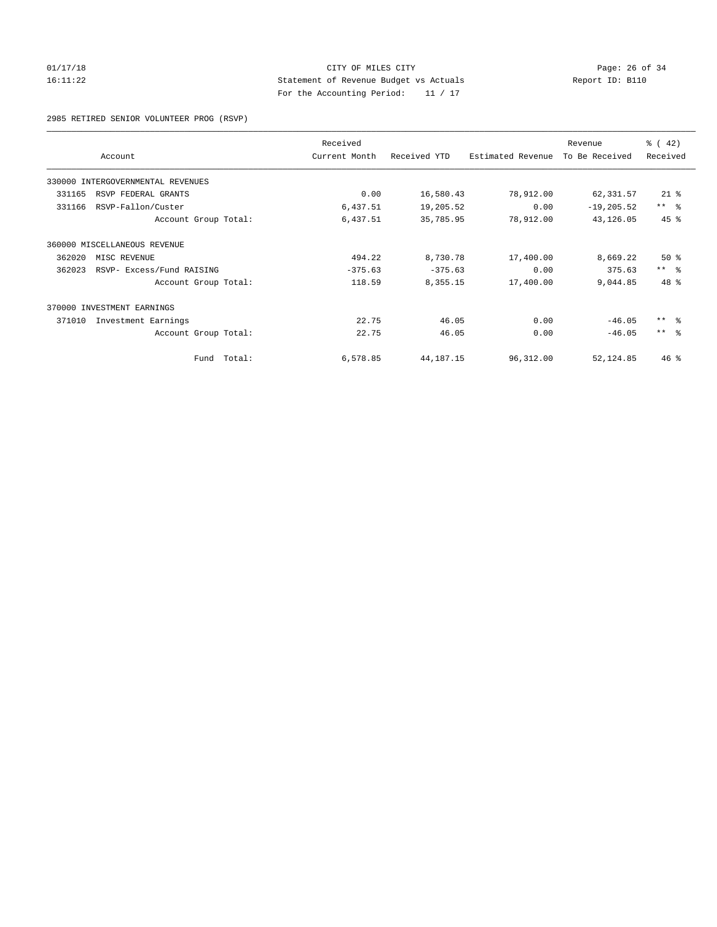## 01/17/18 Page: 26 of 34 16:11:22 Statement of Revenue Budget vs Actuals Report ID: B110 For the Accounting Period: 11 / 17

2985 RETIRED SENIOR VOLUNTEER PROG (RSVP)

|                                     |        | Received      | Received YTD |                   | Revenue<br>To Be Received | $\frac{3}{6}$ ( 42) |
|-------------------------------------|--------|---------------|--------------|-------------------|---------------------------|---------------------|
| Account                             |        | Current Month |              | Estimated Revenue |                           | Received            |
| 330000 INTERGOVERNMENTAL REVENUES   |        |               |              |                   |                           |                     |
| RSVP FEDERAL GRANTS<br>331165       |        | 0.00          | 16,580.43    | 78,912.00         | 62,331.57                 | $21$ %              |
| RSVP-Fallon/Custer<br>331166        |        | 6,437.51      | 19,205.52    | 0.00              | $-19, 205.52$             | $***$ $ -$          |
| Account Group Total:                |        | 6,437.51      | 35,785.95    | 78,912.00         | 43, 126.05                | 45 %                |
| 360000 MISCELLANEOUS REVENUE        |        |               |              |                   |                           |                     |
| 362020<br>MISC REVENUE              |        | 494.22        | 8,730.78     | 17,400.00         | 8,669.22                  | $50*$               |
| 362023<br>RSVP- Excess/Fund RAISING |        | $-375.63$     | $-375.63$    | 0.00              | 375.63                    | $***$ $\approx$     |
| Account Group Total:                |        | 118.59        | 8,355.15     | 17,400.00         | 9,044.85                  | 48 %                |
| 370000 INVESTMENT EARNINGS          |        |               |              |                   |                           |                     |
| 371010<br>Investment Earnings       |        | 22.75         | 46.05        | 0.00              | $-46.05$                  | $***$ $\approx$     |
| Account Group Total:                |        | 22.75         | 46.05        | 0.00              | $-46.05$                  | $***$ $\approx$     |
| Fund                                | Total: | 6,578.85      | 44, 187. 15  | 96,312.00         | 52,124.85                 | $46$ %              |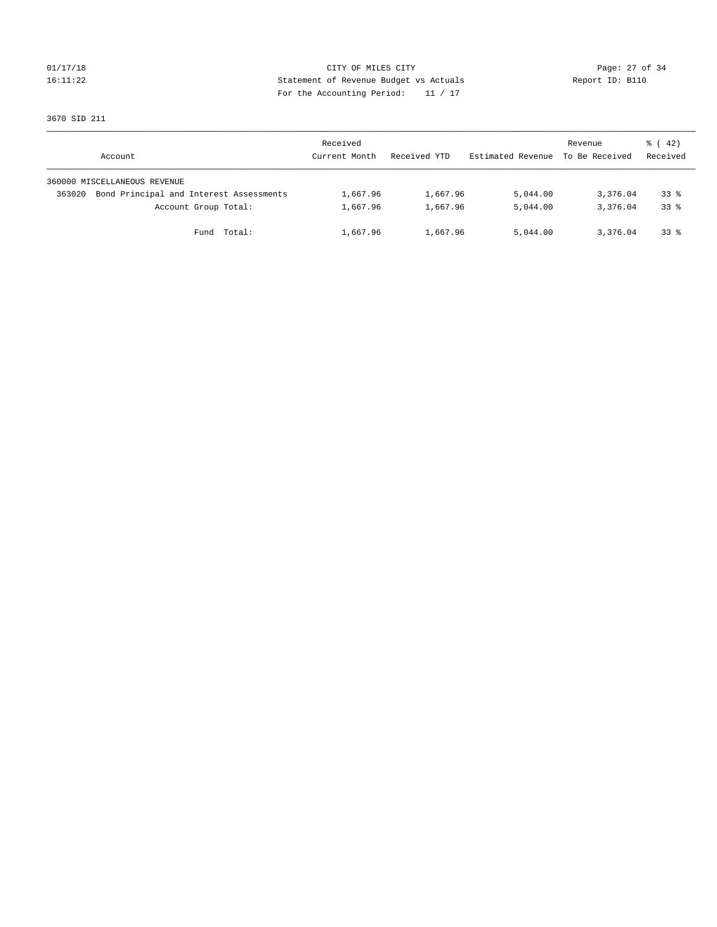## 01/17/18 Page: 27 of 34 16:11:22 Statement of Revenue Budget vs Actuals Report ID: B110 For the Accounting Period: 11 / 17

3670 SID 211

|        | Account                                 | Received<br>Current Month | Received YTD | Estimated Revenue | Revenue<br>To Be Received | $\frac{1}{6}$ ( 42)<br>Received |
|--------|-----------------------------------------|---------------------------|--------------|-------------------|---------------------------|---------------------------------|
|        | 360000 MISCELLANEOUS REVENUE            |                           |              |                   |                           |                                 |
| 363020 | Bond Principal and Interest Assessments | 1,667.96                  | 1,667.96     | 5,044.00          | 3,376.04                  | $33*$                           |
|        | Account Group Total:                    | 1,667.96                  | 1,667.96     | 5,044.00          | 3,376.04                  | $33*$                           |
|        | Total:<br>Fund                          | 1,667.96                  | 1,667.96     | 5,044.00          | 3,376.04                  | $33*$                           |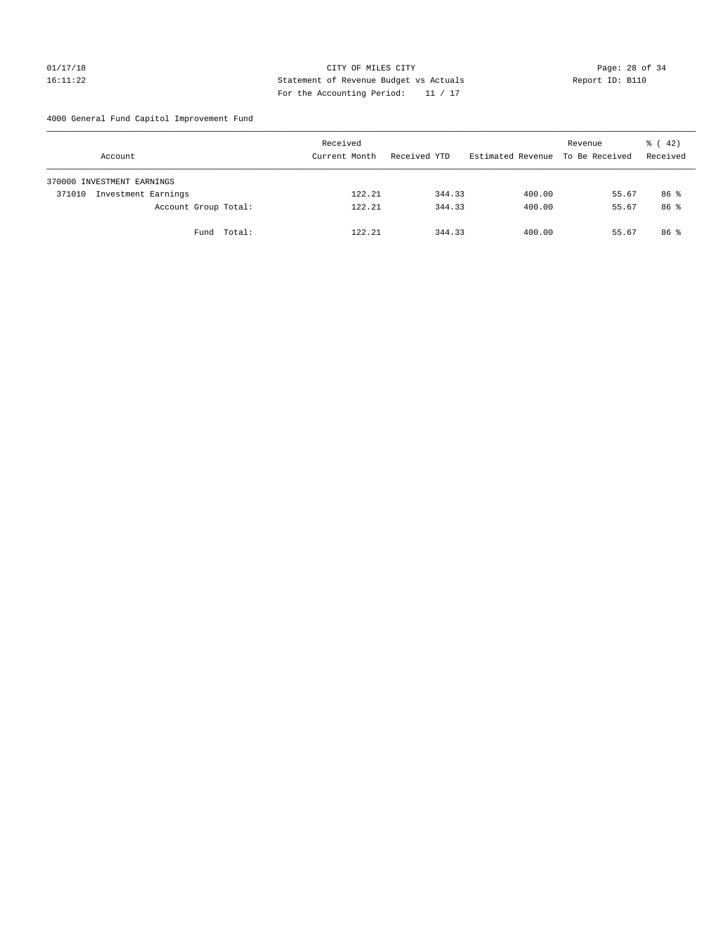## 01/17/18 Page: 28 of 34 16:11:22 Statement of Revenue Budget vs Actuals Report ID: B110 For the Accounting Period: 11 / 17

4000 General Fund Capitol Improvement Fund

| Account                       |                      | Received<br>Current Month | Received YTD | Estimated Revenue | Revenue<br>To Be Received | $\frac{1}{6}$ ( 42)<br>Received |
|-------------------------------|----------------------|---------------------------|--------------|-------------------|---------------------------|---------------------------------|
| 370000 INVESTMENT EARNINGS    |                      |                           |              |                   |                           |                                 |
| Investment Earnings<br>371010 |                      | 122.21                    | 344.33       | 400.00            | 55.67                     | 86 %                            |
|                               | Account Group Total: | 122.21                    | 344.33       | 400.00            | 55.67                     | 86 %                            |
|                               | Fund Total:          | 122.21                    | 344.33       | 400.00            | 55.67                     | 86 <sup>8</sup>                 |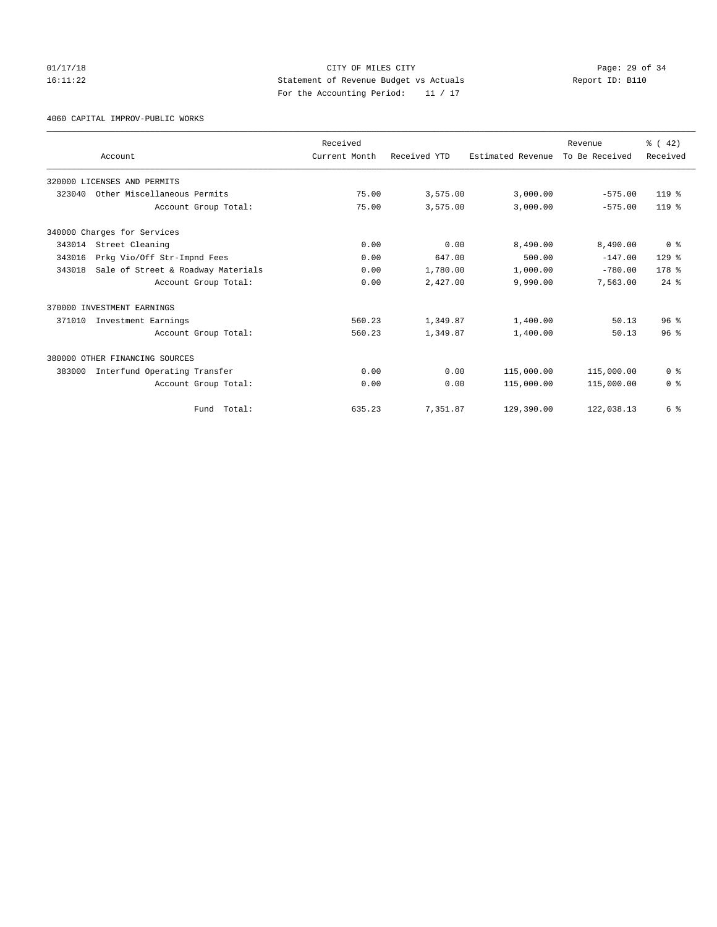## 01/17/18 Page: 29 of 34 16:11:22 Statement of Revenue Budget vs Actuals Report ID: B110 For the Accounting Period: 11 / 17

4060 CAPITAL IMPROV-PUBLIC WORKS

|        |                                    | Received      |              |                   | Revenue        | $\frac{3}{6}$ ( 42) |
|--------|------------------------------------|---------------|--------------|-------------------|----------------|---------------------|
|        | Account                            | Current Month | Received YTD | Estimated Revenue | To Be Received | Received            |
|        | 320000 LICENSES AND PERMITS        |               |              |                   |                |                     |
| 323040 | Other Miscellaneous Permits        | 75.00         | 3,575.00     | 3,000.00          | $-575.00$      | $119*$              |
|        | Account Group Total:               | 75.00         | 3,575.00     | 3,000.00          | $-575.00$      | $119*$              |
|        | 340000 Charges for Services        |               |              |                   |                |                     |
| 343014 | Street Cleaning                    | 0.00          | 0.00         | 8,490.00          | 8,490.00       | 0 <sup>8</sup>      |
| 343016 | Prkg Vio/Off Str-Impnd Fees        | 0.00          | 647.00       | 500.00            | $-147.00$      | $129$ $%$           |
| 343018 | Sale of Street & Roadway Materials | 0.00          | 1,780.00     | 1,000.00          | $-780.00$      | 178 <sup>8</sup>    |
|        | Account Group Total:               | 0.00          | 2,427.00     | 9,990.00          | 7,563.00       | $24$ $%$            |
|        | 370000 INVESTMENT EARNINGS         |               |              |                   |                |                     |
| 371010 | Investment Earnings                | 560.23        | 1,349.87     | 1,400.00          | 50.13          | 96 <sup>8</sup>     |
|        | Account Group Total:               | 560.23        | 1,349.87     | 1,400.00          | 50.13          | 96 <sup>8</sup>     |
|        | 380000 OTHER FINANCING SOURCES     |               |              |                   |                |                     |
| 383000 | Interfund Operating Transfer       | 0.00          | 0.00         | 115,000.00        | 115,000.00     | 0 <sup>8</sup>      |
|        | Account Group Total:               | 0.00          | 0.00         | 115,000.00        | 115,000.00     | 0 <sup>8</sup>      |
|        | Total:<br>Fund                     | 635.23        | 7,351.87     | 129,390.00        | 122,038.13     | 6 %                 |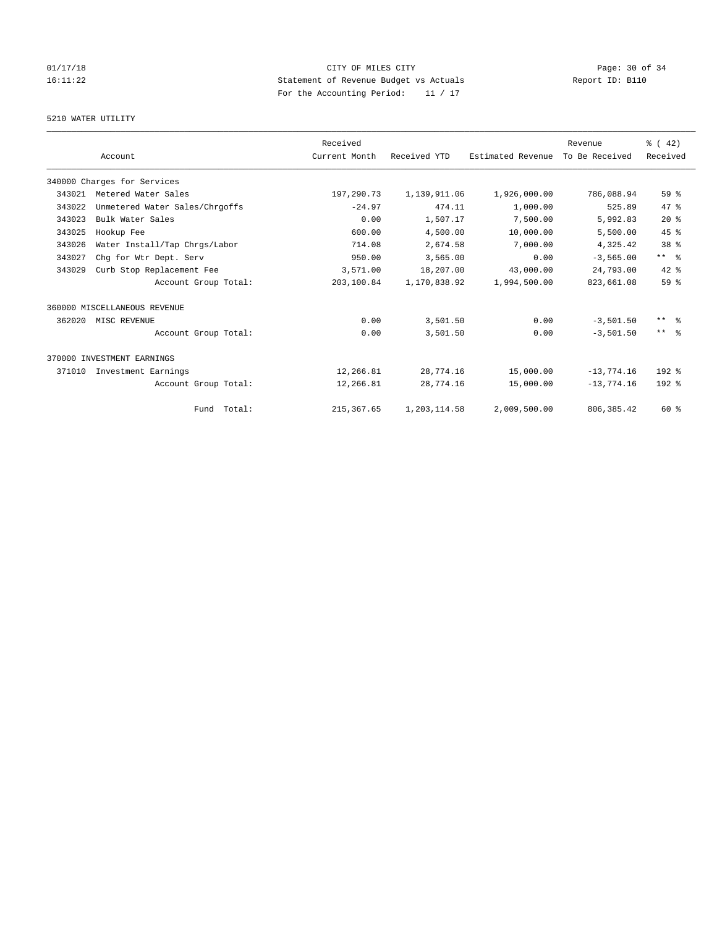# $CITY$  OF MILES  $CITY$  and the contract of  $P_0$  and  $CITY$  and  $P_1$  and  $P_2$  and  $P_3$  and  $P_4$  and  $P_5$  and  $P_6$  and  $P_7$  and  $P_8$  and  $P_7$  and  $P_8$  and  $P_9$  and  $P_9$  and  $P_9$  and  $P_9$  and  $P_9$  and  $P_9$  and  $P_$ 16:11:22 Statement of Revenue Budget vs Actuals Report ID: B110 For the Accounting Period: 11 / 17

## 5210 WATER UTILITY

|        |                                | Received      |              |                   | Revenue        | $\frac{3}{6}$ ( 42) |
|--------|--------------------------------|---------------|--------------|-------------------|----------------|---------------------|
|        | Account                        | Current Month | Received YTD | Estimated Revenue | To Be Received | Received            |
|        | 340000 Charges for Services    |               |              |                   |                |                     |
| 343021 | Metered Water Sales            | 197,290.73    | 1,139,911.06 | 1,926,000.00      | 786,088.94     | 59 <sup>8</sup>     |
| 343022 | Unmetered Water Sales/Chrgoffs | $-24.97$      | 474.11       | 1,000.00          | 525.89         | 47.8                |
| 343023 | Bulk Water Sales               | 0.00          | 1,507.17     | 7,500.00          | 5,992.83       | $20*$               |
| 343025 | Hookup Fee                     | 600.00        | 4,500.00     | 10,000.00         | 5,500.00       | 45%                 |
| 343026 | Water Install/Tap Chrgs/Labor  | 714.08        | 2,674.58     | 7,000.00          | 4,325.42       | 38 <sup>8</sup>     |
| 343027 | Chg for Wtr Dept. Serv         | 950.00        | 3,565.00     | 0.00              | $-3,565.00$    | $***$ $ -$          |
| 343029 | Curb Stop Replacement Fee      | 3,571.00      | 18,207.00    | 43,000.00         | 24,793.00      | $42*$               |
|        | Account Group Total:           | 203,100.84    | 1,170,838.92 | 1,994,500.00      | 823,661.08     | 59 <sup>8</sup>     |
|        | 360000 MISCELLANEOUS REVENUE   |               |              |                   |                |                     |
| 362020 | MISC REVENUE                   | 0.00          | 3,501.50     | 0.00              | $-3,501.50$    | $***$ $\approx$     |
|        | Account Group Total:           | 0.00          | 3,501.50     | 0.00              | $-3,501.50$    | $***$ $ -$          |
|        | 370000 INVESTMENT EARNINGS     |               |              |                   |                |                     |
| 371010 | Investment Earnings            | 12,266.81     | 28,774.16    | 15,000.00         | $-13,774.16$   | $192$ $%$           |
|        | Account Group Total:           | 12,266.81     | 28,774.16    | 15,000.00         | $-13,774.16$   | $192$ %             |
|        | Fund Total:                    | 215, 367.65   | 1,203,114.58 | 2,009,500.00      | 806, 385.42    | $60*$               |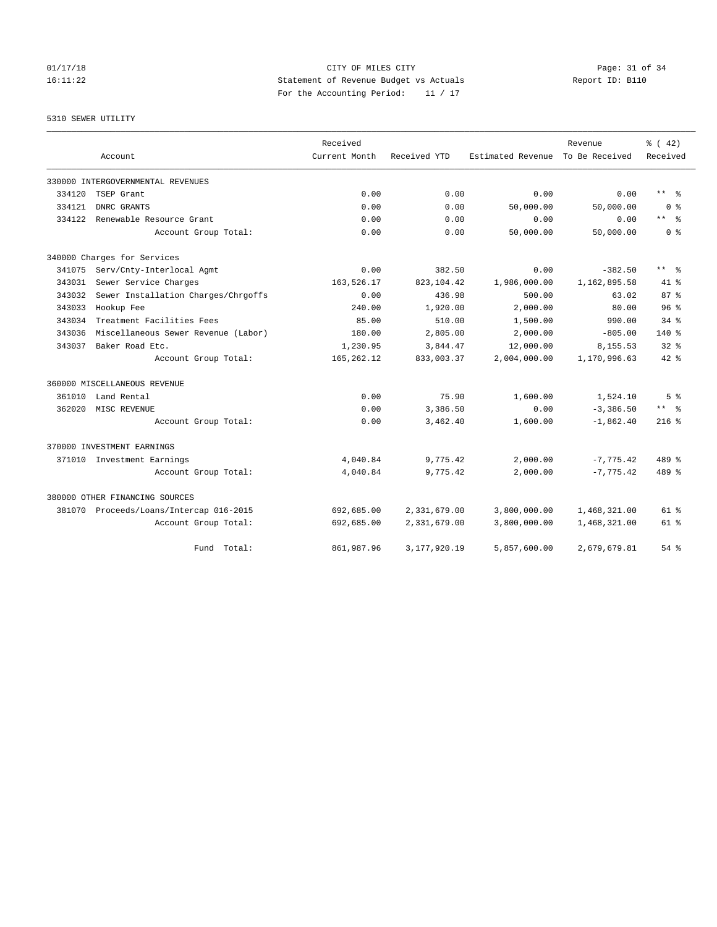# 5310 SEWER UTILITY

|        |                                         | Received      |                 |                   | Revenue        | % (42)                  |
|--------|-----------------------------------------|---------------|-----------------|-------------------|----------------|-------------------------|
|        | Account                                 | Current Month | Received YTD    | Estimated Revenue | To Be Received | Received                |
|        | 330000 INTERGOVERNMENTAL REVENUES       |               |                 |                   |                |                         |
| 334120 | TSEP Grant                              | 0.00          | 0.00            | 0.00              | 0.00           | ** %                    |
| 334121 | DNRC GRANTS                             | 0.00          | 0.00            | 50,000.00         | 50,000.00      | 0 <sup>8</sup>          |
| 334122 | Renewable Resource Grant                | 0.00          | 0.00            | 0.00              | 0.00           | $***$ $=$ $\frac{6}{5}$ |
|        | Account Group Total:                    | 0.00          | 0.00            | 50,000.00         | 50,000.00      | 0 <sup>8</sup>          |
|        | 340000 Charges for Services             |               |                 |                   |                |                         |
| 341075 | Serv/Cnty-Interlocal Agmt               | 0.00          | 382.50          | 0.00              | $-382.50$      | $***$ $=$ $\frac{6}{5}$ |
| 343031 | Sewer Service Charges                   | 163,526.17    | 823, 104.42     | 1,986,000.00      | 1,162,895.58   | $41*$                   |
| 343032 | Sewer Installation Charges/Chrgoffs     | 0.00          | 436.98          | 500.00            | 63.02          | 87%                     |
| 343033 | Hookup Fee                              | 240.00        | 1,920.00        | 2,000.00          | 80.00          | 96 <sup>8</sup>         |
| 343034 | Treatment Facilities Fees               | 85.00         | 510.00          | 1,500.00          | 990.00         | $34$ $%$                |
| 343036 | Miscellaneous Sewer Revenue (Labor)     | 180.00        | 2,805.00        | 2,000.00          | $-805.00$      | 140%                    |
| 343037 | Baker Road Etc.                         | 1,230.95      | 3,844.47        | 12,000.00         | 8,155.53       | $32*$                   |
|        | Account Group Total:                    | 165, 262.12   | 833,003.37      | 2,004,000.00      | 1,170,996.63   | $42*$                   |
|        | 360000 MISCELLANEOUS REVENUE            |               |                 |                   |                |                         |
| 361010 | Land Rental                             | 0.00          | 75.90           | 1,600.00          | 1,524.10       | 5 <sup>8</sup>          |
| 362020 | MISC REVENUE                            | 0.00          | 3,386.50        | 0.00              | $-3,386.50$    | ** 왕                    |
|        | Account Group Total:                    | 0.00          | 3,462.40        | 1,600.00          | $-1,862.40$    | $216$ %                 |
|        | 370000 INVESTMENT EARNINGS              |               |                 |                   |                |                         |
|        | 371010 Investment Earnings              | 4,040.84      | 9,775.42        | 2,000.00          | $-7,775.42$    | 489 %                   |
|        | Account Group Total:                    | 4,040.84      | 9,775.42        | 2,000.00          | $-7,775.42$    | $489*$                  |
|        | 380000 OTHER FINANCING SOURCES          |               |                 |                   |                |                         |
|        | 381070 Proceeds/Loans/Intercap 016-2015 | 692,685.00    | 2,331,679.00    | 3,800,000.00      | 1,468,321.00   | 61 %                    |
|        | Account Group Total:                    | 692,685.00    | 2,331,679.00    | 3,800,000.00      | 1,468,321.00   | 61 %                    |
|        | Total:<br>Fund                          | 861,987.96    | 3, 177, 920. 19 | 5,857,600.00      | 2,679,679.81   | $54$ $%$                |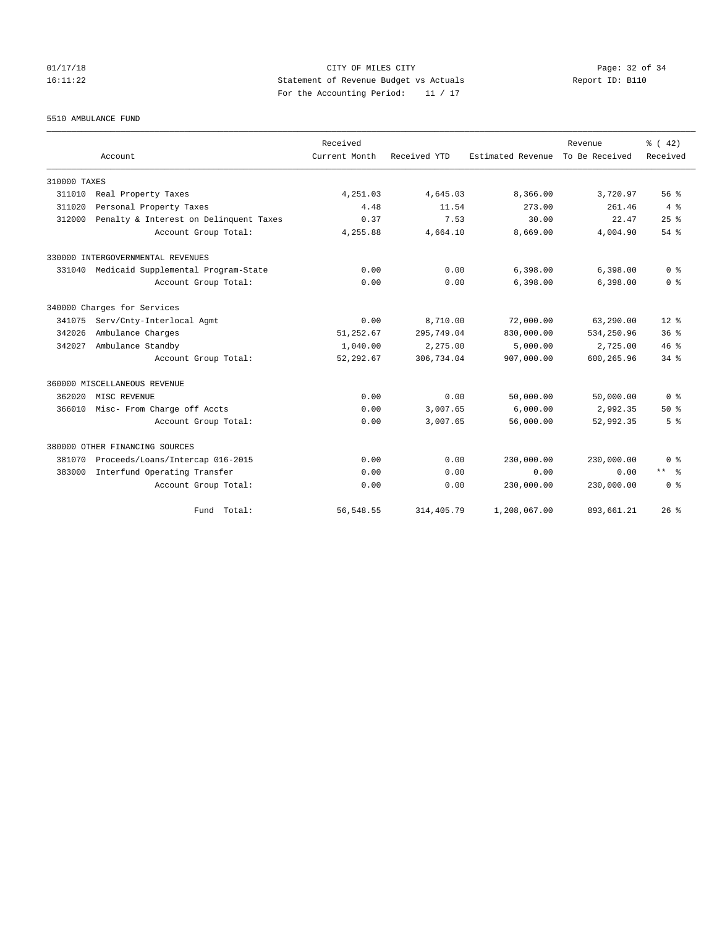# 01/17/18 Page: 32 of 34 16:11:22 Statement of Revenue Budget vs Actuals Report ID: B110 For the Accounting Period: 11 / 17

5510 AMBULANCE FUND

|              |                                            | Received      |              |                   | Revenue        | $\frac{1}{6}$ ( 42) |
|--------------|--------------------------------------------|---------------|--------------|-------------------|----------------|---------------------|
|              | Account                                    | Current Month | Received YTD | Estimated Revenue | To Be Received | Received            |
| 310000 TAXES |                                            |               |              |                   |                |                     |
| 311010       | Real Property Taxes                        | 4,251.03      | 4,645.03     | 8,366.00          | 3,720.97       | 56%                 |
| 311020       | Personal Property Taxes                    | 4.48          | 11.54        | 273.00            | 261.46         | 4%                  |
| 312000       | Penalty & Interest on Delinquent Taxes     | 0.37          | 7.53         | 30.00             | 22.47          | 25%                 |
|              | Account Group Total:                       | 4,255.88      | 4,664.10     | 8,669.00          | 4,004.90       | $54$ $%$            |
|              | 330000 INTERGOVERNMENTAL REVENUES          |               |              |                   |                |                     |
|              | 331040 Medicaid Supplemental Program-State | 0.00          | 0.00         | 6,398.00          | 6,398.00       | 0 <sup>8</sup>      |
|              | Account Group Total:                       | 0.00          | 0.00         | 6,398.00          | 6,398.00       | 0 <sup>8</sup>      |
|              | 340000 Charges for Services                |               |              |                   |                |                     |
| 341075       | Serv/Cnty-Interlocal Agmt                  | 0.00          | 8,710.00     | 72,000.00         | 63,290.00      | $12*$               |
| 342026       | Ambulance Charges                          | 51,252.67     | 295,749.04   | 830,000.00        | 534,250.96     | 36 <sup>8</sup>     |
| 342027       | Ambulance Standby                          | 1,040.00      | 2,275.00     | 5,000.00          | 2,725.00       | 46%                 |
|              | Account Group Total:                       | 52, 292.67    | 306,734.04   | 907,000.00        | 600,265.96     | 34.8                |
|              | 360000 MISCELLANEOUS REVENUE               |               |              |                   |                |                     |
| 362020       | MISC REVENUE                               | 0.00          | 0.00         | 50,000.00         | 50,000.00      | 0 <sup>8</sup>      |
| 366010       | Misc- From Charge off Accts                | 0.00          | 3,007.65     | 6,000.00          | 2,992.35       | $50*$               |
|              | Account Group Total:                       | 0.00          | 3,007.65     | 56,000.00         | 52,992.35      | 5 <sup>8</sup>      |
|              | 380000 OTHER FINANCING SOURCES             |               |              |                   |                |                     |
| 381070       | Proceeds/Loans/Intercap 016-2015           | 0.00          | 0.00         | 230,000.00        | 230,000.00     | 0 <sup>8</sup>      |
| 383000       | Interfund Operating Transfer               | 0.00          | 0.00         | 0.00              | 0.00           | $***$ $ -$          |
|              | Account Group Total:                       | 0.00          | 0.00         | 230,000.00        | 230,000.00     | 0 <sup>8</sup>      |
|              | Fund Total:                                | 56, 548.55    | 314, 405.79  | 1,208,067.00      | 893,661.21     | 26%                 |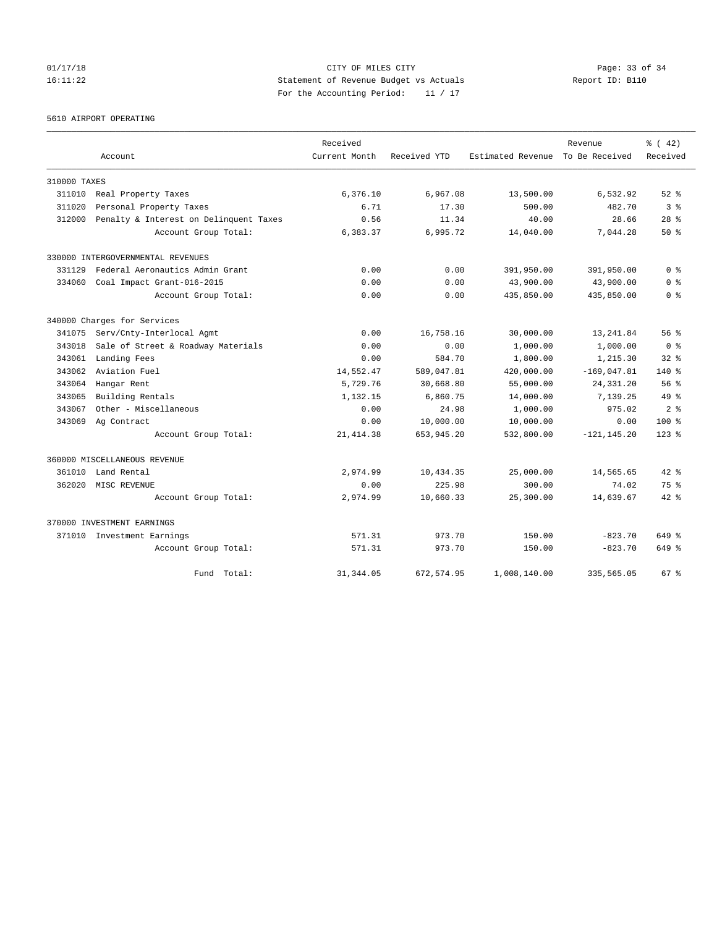# 01/17/18 Page: 33 of 34 16:11:22 Statement of Revenue Budget vs Actuals Report ID: B110 For the Accounting Period: 11 / 17

5610 AIRPORT OPERATING

|              | Account                                | Received<br>Current Month | Received YTD | Estimated Revenue | Revenue<br>To Be Received | % (42)<br>Received |
|--------------|----------------------------------------|---------------------------|--------------|-------------------|---------------------------|--------------------|
|              |                                        |                           |              |                   |                           |                    |
| 310000 TAXES |                                        |                           |              |                   |                           |                    |
| 311010       | Real Property Taxes                    | 6,376.10                  | 6,967.08     | 13,500.00         | 6,532.92                  | $52$ $%$           |
| 311020       | Personal Property Taxes                | 6.71                      | 17.30        | 500.00            | 482.70                    | 3%                 |
| 312000       | Penalty & Interest on Delinquent Taxes | 0.56                      | 11.34        | 40.00             | 28.66                     | $28$ %             |
|              | Account Group Total:                   | 6,383.37                  | 6,995.72     | 14,040.00         | 7,044.28                  | $50*$              |
|              | 330000 INTERGOVERNMENTAL REVENUES      |                           |              |                   |                           |                    |
| 331129       | Federal Aeronautics Admin Grant        | 0.00                      | 0.00         | 391,950.00        | 391,950.00                | 0 <sup>8</sup>     |
| 334060       | Coal Impact Grant-016-2015             | 0.00                      | 0.00         | 43,900.00         | 43,900.00                 | 0 <sup>8</sup>     |
|              | Account Group Total:                   | 0.00                      | 0.00         | 435,850.00        | 435,850.00                | 0 <sup>8</sup>     |
|              | 340000 Charges for Services            |                           |              |                   |                           |                    |
| 341075       | Serv/Cnty-Interlocal Agmt              | 0.00                      | 16,758.16    | 30,000.00         | 13,241.84                 | 56%                |
| 343018       | Sale of Street & Roadway Materials     | 0.00                      | 0.00         | 1,000.00          | 1,000.00                  | 0 <sup>8</sup>     |
| 343061       | Landing Fees                           | 0.00                      | 584.70       | 1,800.00          | 1,215.30                  | $32$ $%$           |
| 343062       | Aviation Fuel                          | 14,552.47                 | 589,047.81   | 420,000.00        | $-169,047.81$             | 140 %              |
| 343064       | Hangar Rent                            | 5,729.76                  | 30,668.80    | 55,000.00         | 24, 331.20                | 56%                |
| 343065       | Building Rentals                       | 1,132.15                  | 6,860.75     | 14,000.00         | 7,139.25                  | $49*$              |
| 343067       | Other - Miscellaneous                  | 0.00                      | 24.98        | 1,000.00          | 975.02                    | 2 <sup>8</sup>     |
| 343069       | Ag Contract                            | 0.00                      | 10,000.00    | 10,000.00         | 0.00                      | $100*$             |
|              | Account Group Total:                   | 21, 414.38                | 653, 945.20  | 532,800.00        | $-121, 145.20$            | $123$ $%$          |
|              | 360000 MISCELLANEOUS REVENUE           |                           |              |                   |                           |                    |
| 361010       | Land Rental                            | 2,974.99                  | 10,434.35    | 25,000.00         | 14,565.65                 | $42*$              |
| 362020       | MISC REVENUE                           | 0.00                      | 225.98       | 300.00            | 74.02                     | 75%                |
|              | Account Group Total:                   | 2,974.99                  | 10,660.33    | 25,300.00         | 14,639.67                 | $42*$              |
|              | 370000 INVESTMENT EARNINGS             |                           |              |                   |                           |                    |
| 371010       | Investment Earnings                    | 571.31                    | 973.70       | 150.00            | $-823.70$                 | 649 %              |
|              | Account Group Total:                   | 571.31                    | 973.70       | 150.00            | $-823.70$                 | 649 %              |
|              | Total:<br>Fund                         | 31, 344.05                | 672,574.95   | 1,008,140.00      | 335,565.05                | 67 <sup>8</sup>    |